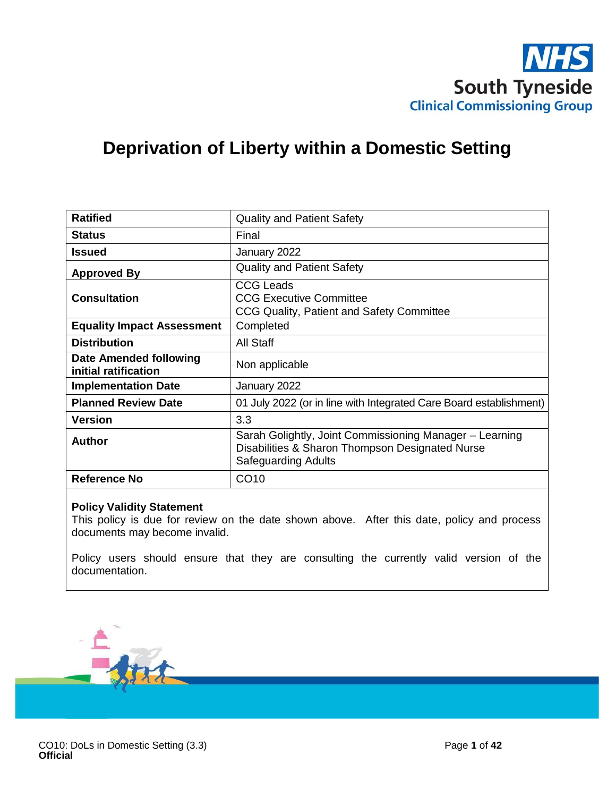

# **Deprivation of Liberty within a Domestic Setting**

| <b>Ratified</b>                                       | <b>Quality and Patient Safety</b>                                                                                                        |  |  |
|-------------------------------------------------------|------------------------------------------------------------------------------------------------------------------------------------------|--|--|
| <b>Status</b>                                         | Final                                                                                                                                    |  |  |
| <b>Issued</b>                                         | January 2022                                                                                                                             |  |  |
| <b>Approved By</b>                                    | <b>Quality and Patient Safety</b>                                                                                                        |  |  |
| <b>Consultation</b>                                   | <b>CCG Leads</b><br><b>CCG Executive Committee</b><br>CCG Quality, Patient and Safety Committee                                          |  |  |
| <b>Equality Impact Assessment</b>                     | Completed                                                                                                                                |  |  |
| <b>Distribution</b>                                   | All Staff                                                                                                                                |  |  |
| <b>Date Amended following</b><br>initial ratification | Non applicable                                                                                                                           |  |  |
| <b>Implementation Date</b>                            | January 2022                                                                                                                             |  |  |
| <b>Planned Review Date</b>                            | 01 July 2022 (or in line with Integrated Care Board establishment)                                                                       |  |  |
| <b>Version</b>                                        | 3.3                                                                                                                                      |  |  |
| <b>Author</b>                                         | Sarah Golightly, Joint Commissioning Manager - Learning<br>Disabilities & Sharon Thompson Designated Nurse<br><b>Safeguarding Adults</b> |  |  |
| <b>Reference No</b>                                   | CO <sub>10</sub>                                                                                                                         |  |  |

#### **Policy Validity Statement**

This policy is due for review on the date shown above. After this date, policy and process documents may become invalid.

Policy users should ensure that they are consulting the currently valid version of the documentation.

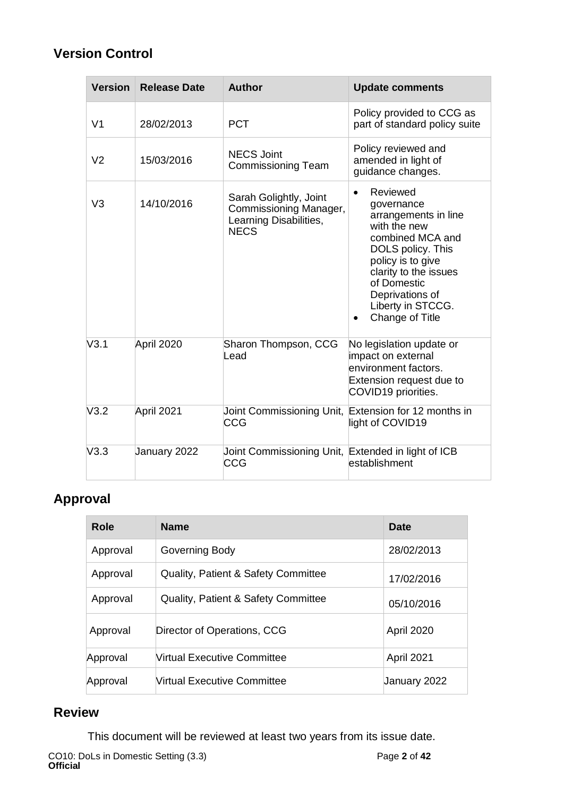## **Version Control**

| <b>Version</b> | <b>Release Date</b> | <b>Author</b>                                                                             | <b>Update comments</b>                                                                                                                                                                                                                                    |
|----------------|---------------------|-------------------------------------------------------------------------------------------|-----------------------------------------------------------------------------------------------------------------------------------------------------------------------------------------------------------------------------------------------------------|
| V <sub>1</sub> | 28/02/2013          | <b>PCT</b>                                                                                | Policy provided to CCG as<br>part of standard policy suite                                                                                                                                                                                                |
| V <sub>2</sub> | 15/03/2016          | <b>NECS Joint</b><br><b>Commissioning Team</b>                                            | Policy reviewed and<br>amended in light of<br>guidance changes.                                                                                                                                                                                           |
| V <sub>3</sub> | 14/10/2016          | Sarah Golightly, Joint<br>Commissioning Manager,<br>Learning Disabilities,<br><b>NECS</b> | Reviewed<br>$\bullet$<br>governance<br>arrangements in line<br>with the new<br>combined MCA and<br>DOLS policy. This<br>policy is to give<br>clarity to the issues<br>of Domestic<br>Deprivations of<br>Liberty in STCCG.<br>Change of Title<br>$\bullet$ |
| V3.1           | April 2020          | Sharon Thompson, CCG<br>Lead                                                              | No legislation update or<br>impact on external<br>environment factors.<br>Extension request due to<br>COVID19 priorities.                                                                                                                                 |
| V3.2           | April 2021          | CCG                                                                                       | Joint Commissioning Unit, Extension for 12 months in<br>light of COVID19                                                                                                                                                                                  |
| V3.3           | January 2022        | Joint Commissioning Unit, Extended in light of ICB<br>CCG                                 | establishment                                                                                                                                                                                                                                             |

# **Approval**

| Role     | <b>Name</b>                                    | Date              |
|----------|------------------------------------------------|-------------------|
| Approval | Governing Body                                 | 28/02/2013        |
| Approval | <b>Quality, Patient &amp; Safety Committee</b> | 17/02/2016        |
| Approval | <b>Quality, Patient &amp; Safety Committee</b> | 05/10/2016        |
| Approval | Director of Operations, CCG                    | <b>April 2020</b> |
| Approval | Virtual Executive Committee                    | April 2021        |
| Approval | Virtual Executive Committee                    | January 2022      |

## **Review**

This document will be reviewed at least two years from its issue date.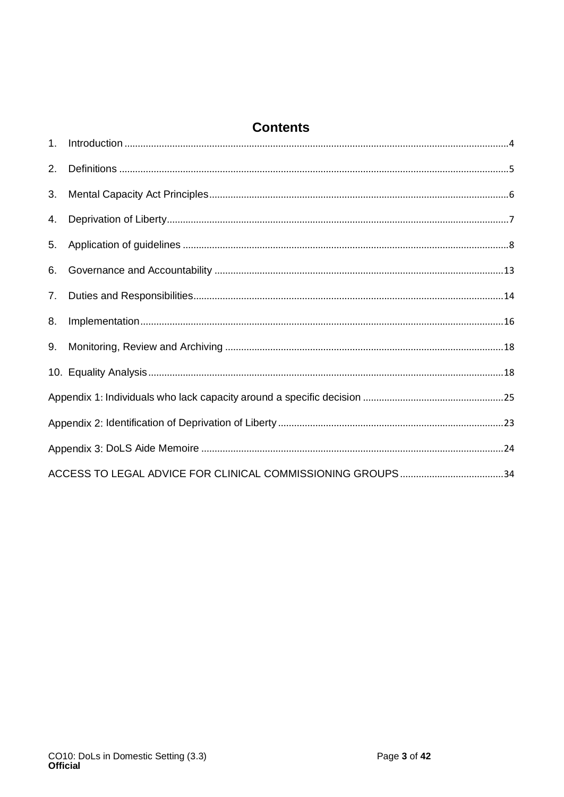## **Contents**

| 2. |  |
|----|--|
| 3. |  |
| 4. |  |
| 5. |  |
| 6. |  |
| 7. |  |
| 8. |  |
| 9. |  |
|    |  |
|    |  |
|    |  |
|    |  |
|    |  |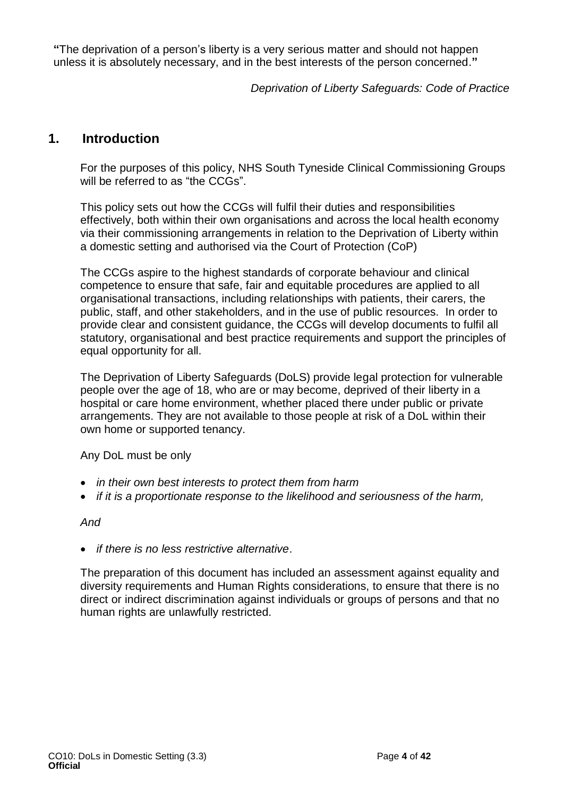**"**The deprivation of a person's liberty is a very serious matter and should not happen unless it is absolutely necessary, and in the best interests of the person concerned.**"**

*Deprivation of Liberty Safeguards: Code of Practice*

## <span id="page-3-0"></span>**1. Introduction**

For the purposes of this policy, NHS South Tyneside Clinical Commissioning Groups will be referred to as "the CCGs".

This policy sets out how the CCGs will fulfil their duties and responsibilities effectively, both within their own organisations and across the local health economy via their commissioning arrangements in relation to the Deprivation of Liberty within a domestic setting and authorised via the Court of Protection (CoP)

The CCGs aspire to the highest standards of corporate behaviour and clinical competence to ensure that safe, fair and equitable procedures are applied to all organisational transactions, including relationships with patients, their carers, the public, staff, and other stakeholders, and in the use of public resources. In order to provide clear and consistent guidance, the CCGs will develop documents to fulfil all statutory, organisational and best practice requirements and support the principles of equal opportunity for all.

The Deprivation of Liberty Safeguards (DoLS) provide legal protection for vulnerable people over the age of 18, who are or may become, deprived of their liberty in a hospital or care home environment, whether placed there under public or private arrangements. They are not available to those people at risk of a DoL within their own home or supported tenancy.

Any DoL must be only

- *in their own best interests to protect them from harm*
- *if it is a proportionate response to the likelihood and seriousness of the harm,*

### *And*

• *if there is no less restrictive alternative*.

The preparation of this document has included an assessment against equality and diversity requirements and Human Rights considerations, to ensure that there is no direct or indirect discrimination against individuals or groups of persons and that no human rights are unlawfully restricted.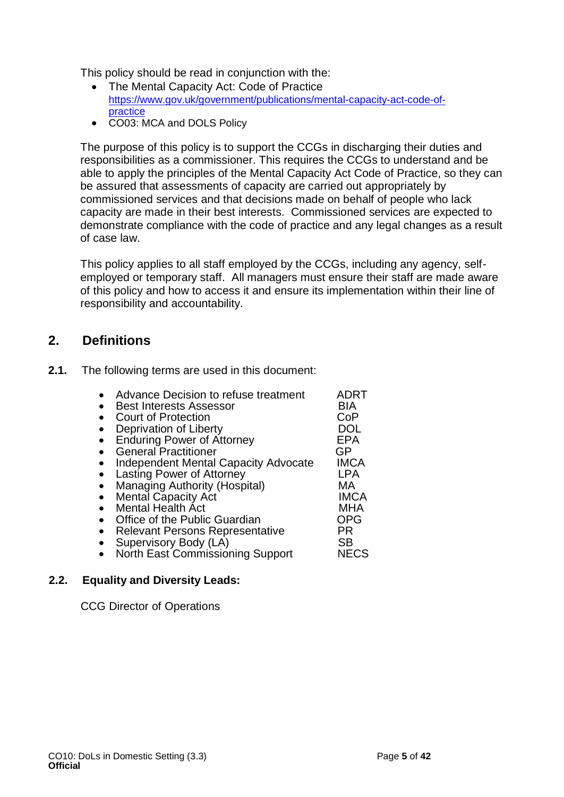This policy should be read in conjunction with the:

- The Mental Capacity Act: Code of Practice [https://www.gov.uk/government/publications/mental-capacity-act-code-of](https://www.gov.uk/government/publications/mental-capacity-act-code-of-practice)[practice](https://www.gov.uk/government/publications/mental-capacity-act-code-of-practice)
- CO03: MCA and DOLS Policy

The purpose of this policy is to support the CCGs in discharging their duties and responsibilities as a commissioner. This requires the CCGs to understand and be able to apply the principles of the Mental Capacity Act Code of Practice, so they can be assured that assessments of capacity are carried out appropriately by commissioned services and that decisions made on behalf of people who lack capacity are made in their best interests. Commissioned services are expected to demonstrate compliance with the code of practice and any legal changes as a result of case law.

This policy applies to all staff employed by the CCGs, including any agency, selfemployed or temporary staff. All managers must ensure their staff are made aware of this policy and how to access it and ensure its implementation within their line of responsibility and accountability.

## <span id="page-4-0"></span>**2. Definitions**

**2.1.** The following terms are used in this document:

| Advance Decision to refuse treatment        | ADRT        |
|---------------------------------------------|-------------|
| <b>Best Interests Assessor</b>              | BIA         |
| <b>Court of Protection</b>                  | CoP         |
| Deprivation of Liberty                      | DOL         |
| <b>Enduring Power of Attorney</b>           | EPA         |
| <b>General Practitioner</b>                 | GP          |
| <b>Independent Mental Capacity Advocate</b> | <b>IMCA</b> |
| Lasting Power of Attorney                   | LPA         |
| <b>Managing Authority (Hospital)</b>        | МA          |
| <b>Mental Capacity Act</b>                  | <b>IMCA</b> |
| <b>Mental Health Act</b>                    | <b>MHA</b>  |
| Office of the Public Guardian               | <b>OPG</b>  |
| <b>Relevant Persons Representative</b>      | PR          |
| Supervisory Body (LA)                       | <b>SB</b>   |
| <b>North East Commissioning Support</b>     | <b>NECS</b> |

### **2.2. Equality and Diversity Leads:**

CCG Director of Operations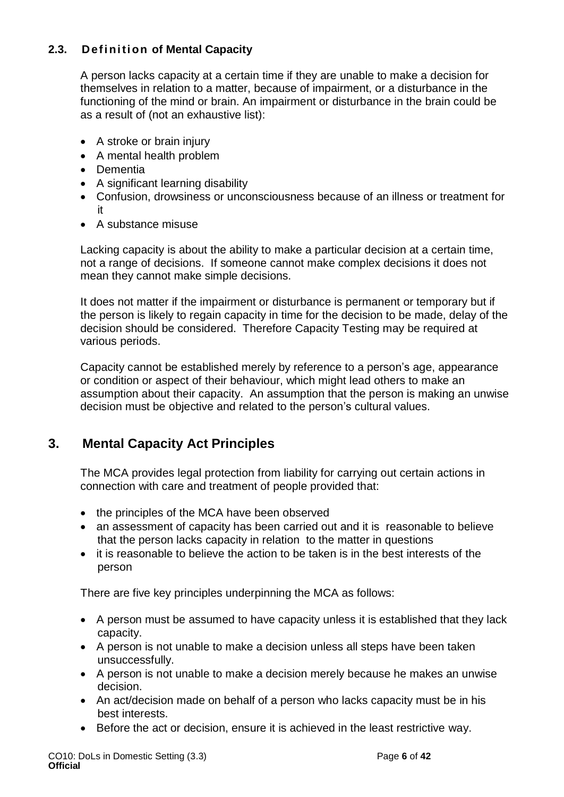## **2.3. Definition of Mental Capacity**

A person lacks capacity at a certain time if they are unable to make a decision for themselves in relation to a matter, because of impairment, or a disturbance in the functioning of the mind or brain. An impairment or disturbance in the brain could be as a result of (not an exhaustive list):

- A stroke or brain injury
- A mental health problem
- Dementia
- A significant learning disability
- Confusion, drowsiness or unconsciousness because of an illness or treatment for it
- A substance misuse

Lacking capacity is about the ability to make a particular decision at a certain time, not a range of decisions. If someone cannot make complex decisions it does not mean they cannot make simple decisions.

It does not matter if the impairment or disturbance is permanent or temporary but if the person is likely to regain capacity in time for the decision to be made, delay of the decision should be considered. Therefore Capacity Testing may be required at various periods.

Capacity cannot be established merely by reference to a person's age, appearance or condition or aspect of their behaviour, which might lead others to make an assumption about their capacity. An assumption that the person is making an unwise decision must be objective and related to the person's cultural values.

## <span id="page-5-0"></span>**3. Mental Capacity Act Principles**

The MCA provides legal protection from liability for carrying out certain actions in connection with care and treatment of people provided that:

- the principles of the MCA have been observed
- an assessment of capacity has been carried out and it is reasonable to believe that the person lacks capacity in relation to the matter in questions
- it is reasonable to believe the action to be taken is in the best interests of the person

There are five key principles underpinning the MCA as follows:

- A person must be assumed to have capacity unless it is established that they lack capacity.
- A person is not unable to make a decision unless all steps have been taken unsuccessfully.
- A person is not unable to make a decision merely because he makes an unwise decision.
- An act/decision made on behalf of a person who lacks capacity must be in his best interests.
- Before the act or decision, ensure it is achieved in the least restrictive way.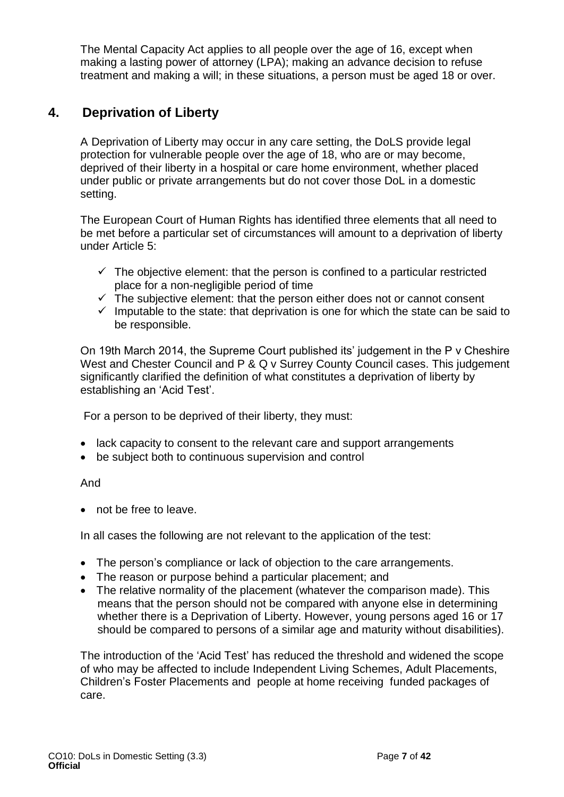The Mental Capacity Act applies to all people over the age of 16, except when making a lasting power of attorney (LPA); making an advance decision to refuse treatment and making a will; in these situations, a person must be aged 18 or over.

## <span id="page-6-0"></span>**4. Deprivation of Liberty**

A Deprivation of Liberty may occur in any care setting, the DoLS provide legal protection for vulnerable people over the age of 18, who are or may become, deprived of their liberty in a hospital or care home environment, whether placed under public or private arrangements but do not cover those DoL in a domestic setting.

The European Court of Human Rights has identified three elements that all need to be met before a particular set of circumstances will amount to a deprivation of liberty under Article 5:

- $\checkmark$  The objective element: that the person is confined to a particular restricted place for a non-negligible period of time
- $\checkmark$  The subjective element: that the person either does not or cannot consent
- $\checkmark$  Imputable to the state: that deprivation is one for which the state can be said to be responsible.

On 19th March 2014, the Supreme Court published its' judgement in the P v Cheshire West and Chester Council and P & Q v Surrey County Council cases. This judgement significantly clarified the definition of what constitutes a deprivation of liberty by establishing an 'Acid Test'.

For a person to be deprived of their liberty, they must:

- lack capacity to consent to the relevant care and support arrangements
- be subject both to continuous supervision and control

### And

• not be free to leave.

In all cases the following are not relevant to the application of the test:

- The person's compliance or lack of objection to the care arrangements.
- The reason or purpose behind a particular placement; and
- The relative normality of the placement (whatever the comparison made). This means that the person should not be compared with anyone else in determining whether there is a Deprivation of Liberty. However, young persons aged 16 or 17 should be compared to persons of a similar age and maturity without disabilities).

The introduction of the 'Acid Test' has reduced the threshold and widened the scope of who may be affected to include Independent Living Schemes, Adult Placements, Children's Foster Placements and people at home receiving funded packages of care.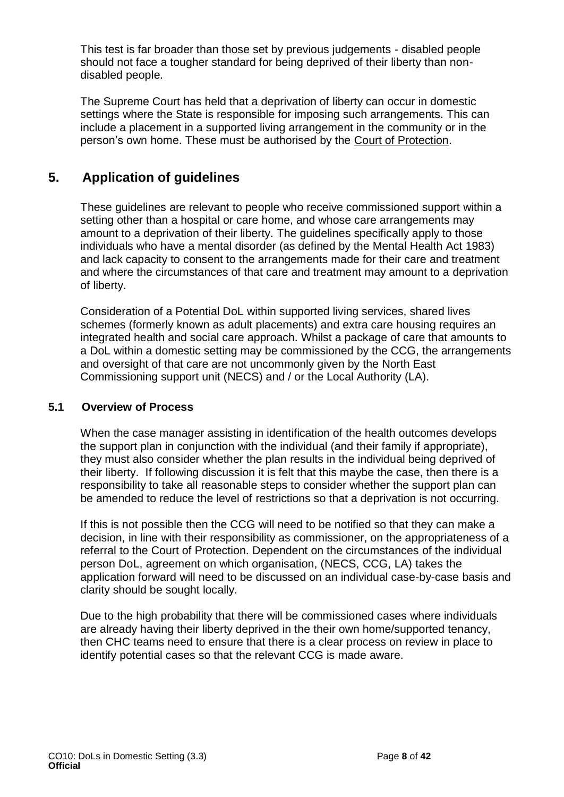This test is far broader than those set by previous judgements - disabled people should not face a tougher standard for being deprived of their liberty than nondisabled people.

The Supreme Court has held that a deprivation of liberty can occur in domestic settings where the State is responsible for imposing such arrangements. This can include a placement in a supported living arrangement in the community or in the person's own home. These must be authorised by the Court of [Protection.](http://trixresources.proceduresonline.com/nat_key/keywords/a_court_protection.html)

## <span id="page-7-0"></span>**5. Application of guidelines**

These guidelines are relevant to people who receive commissioned support within a setting other than a hospital or care home, and whose care arrangements may amount to a deprivation of their liberty. The guidelines specifically apply to those individuals who have a mental disorder (as defined by the Mental Health Act 1983) and lack capacity to consent to the arrangements made for their care and treatment and where the circumstances of that care and treatment may amount to a deprivation of liberty.

Consideration of a Potential DoL within supported living services, shared lives schemes (formerly known as adult placements) and extra care housing requires an integrated health and social care approach. Whilst a package of care that amounts to a DoL within a domestic setting may be commissioned by the CCG, the arrangements and oversight of that care are not uncommonly given by the North East Commissioning support unit (NECS) and / or the Local Authority (LA).

## **5.1 Overview of Process**

When the case manager assisting in identification of the health outcomes develops the support plan in conjunction with the individual (and their family if appropriate), they must also consider whether the plan results in the individual being deprived of their liberty. If following discussion it is felt that this maybe the case, then there is a responsibility to take all reasonable steps to consider whether the support plan can be amended to reduce the level of restrictions so that a deprivation is not occurring.

If this is not possible then the CCG will need to be notified so that they can make a decision, in line with their responsibility as commissioner, on the appropriateness of a referral to the Court of Protection. Dependent on the circumstances of the individual person DoL, agreement on which organisation, (NECS, CCG, LA) takes the application forward will need to be discussed on an individual case-by-case basis and clarity should be sought locally.

Due to the high probability that there will be commissioned cases where individuals are already having their liberty deprived in the their own home/supported tenancy, then CHC teams need to ensure that there is a clear process on review in place to identify potential cases so that the relevant CCG is made aware.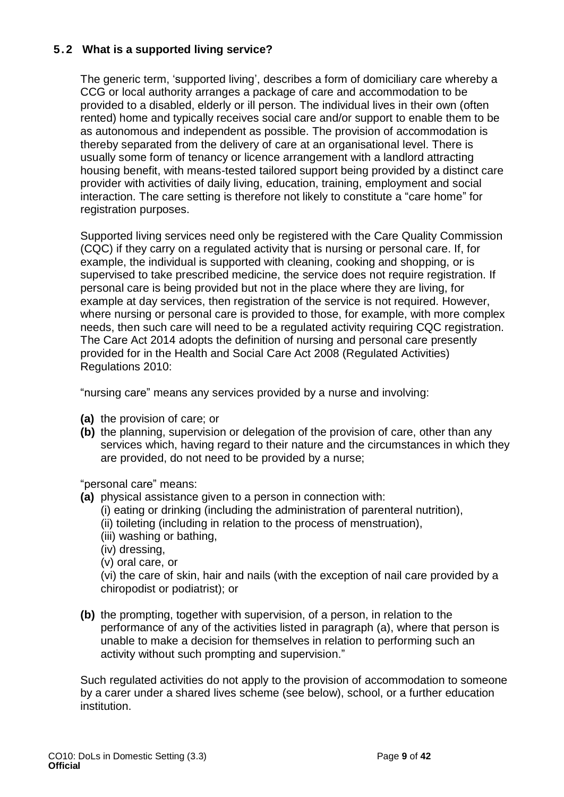## **5.2 What is a supported living service?**

The generic term, 'supported living', describes a form of domiciliary care whereby a CCG or local authority arranges a package of care and accommodation to be provided to a disabled, elderly or ill person. The individual lives in their own (often rented) home and typically receives social care and/or support to enable them to be as autonomous and independent as possible. The provision of accommodation is thereby separated from the delivery of care at an organisational level. There is usually some form of tenancy or licence arrangement with a landlord attracting housing benefit, with means-tested tailored support being provided by a distinct care provider with activities of daily living, education, training, employment and social interaction. The care setting is therefore not likely to constitute a "care home" for registration purposes.

Supported living services need only be registered with the Care Quality Commission (CQC) if they carry on a regulated activity that is nursing or personal care. If, for example, the individual is supported with cleaning, cooking and shopping, or is supervised to take prescribed medicine, the service does not require registration. If personal care is being provided but not in the place where they are living, for example at day services, then registration of the service is not required. However, where nursing or personal care is provided to those, for example, with more complex needs, then such care will need to be a regulated activity requiring CQC registration. The Care Act 2014 adopts the definition of nursing and personal care presently provided for in the Health and Social Care Act 2008 (Regulated Activities) Regulations 2010:

"nursing care" means any services provided by a nurse and involving:

- **(a)** the provision of care; or
- **(b)** the planning, supervision or delegation of the provision of care, other than any services which, having regard to their nature and the circumstances in which they are provided, do not need to be provided by a nurse;

### "personal care" means:

- **(a)** physical assistance given to a person in connection with:
	- (i) eating or drinking (including the administration of parenteral nutrition),
	- (ii) toileting (including in relation to the process of menstruation),
	- (iii) washing or bathing,
	- (iv) dressing,
	- (v) oral care, or

(vi) the care of skin, hair and nails (with the exception of nail care provided by a chiropodist or podiatrist); or

**(b)** the prompting, together with supervision, of a person, in relation to the performance of any of the activities listed in paragraph (a), where that person is unable to make a decision for themselves in relation to performing such an activity without such prompting and supervision."

Such regulated activities do not apply to the provision of accommodation to someone by a carer under a shared lives scheme (see below), school, or a further education institution.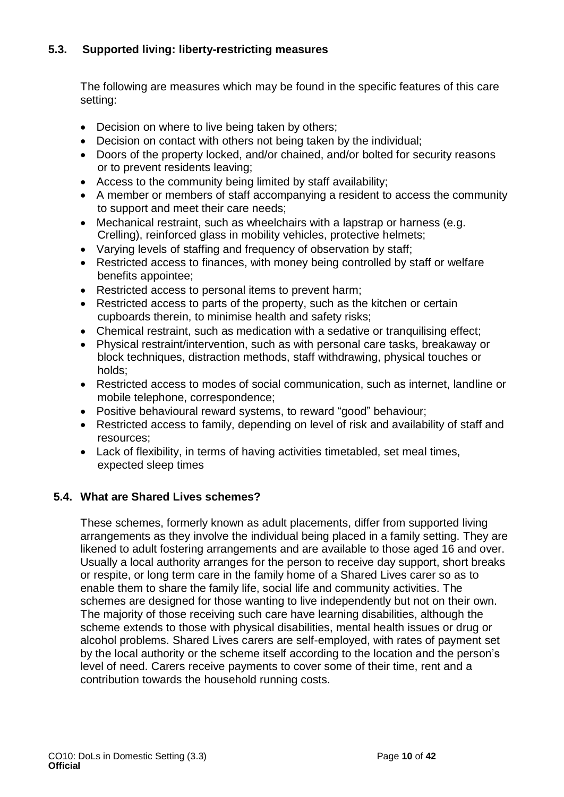## **5.3. Supported living: liberty-restricting measures**

The following are measures which may be found in the specific features of this care setting:

- Decision on where to live being taken by others;
- Decision on contact with others not being taken by the individual;
- Doors of the property locked, and/or chained, and/or bolted for security reasons or to prevent residents leaving;
- Access to the community being limited by staff availability;
- A member or members of staff accompanying a resident to access the community to support and meet their care needs;
- Mechanical restraint, such as wheelchairs with a lapstrap or harness (e.g. Crelling), reinforced glass in mobility vehicles, protective helmets;
- Varving levels of staffing and frequency of observation by staff:
- Restricted access to finances, with money being controlled by staff or welfare benefits appointee;
- Restricted access to personal items to prevent harm;
- Restricted access to parts of the property, such as the kitchen or certain cupboards therein, to minimise health and safety risks;
- Chemical restraint, such as medication with a sedative or tranquilising effect;
- Physical restraint/intervention, such as with personal care tasks, breakaway or block techniques, distraction methods, staff withdrawing, physical touches or holds;
- Restricted access to modes of social communication, such as internet, landline or mobile telephone, correspondence;
- Positive behavioural reward systems, to reward "good" behaviour;
- Restricted access to family, depending on level of risk and availability of staff and resources;
- Lack of flexibility, in terms of having activities timetabled, set meal times, expected sleep times

## **5.4. What are Shared Lives schemes?**

These schemes, formerly known as adult placements, differ from supported living arrangements as they involve the individual being placed in a family setting. They are likened to adult fostering arrangements and are available to those aged 16 and over. Usually a local authority arranges for the person to receive day support, short breaks or respite, or long term care in the family home of a Shared Lives carer so as to enable them to share the family life, social life and community activities. The schemes are designed for those wanting to live independently but not on their own. The majority of those receiving such care have learning disabilities, although the scheme extends to those with physical disabilities, mental health issues or drug or alcohol problems. Shared Lives carers are self-employed, with rates of payment set by the local authority or the scheme itself according to the location and the person's level of need. Carers receive payments to cover some of their time, rent and a contribution towards the household running costs.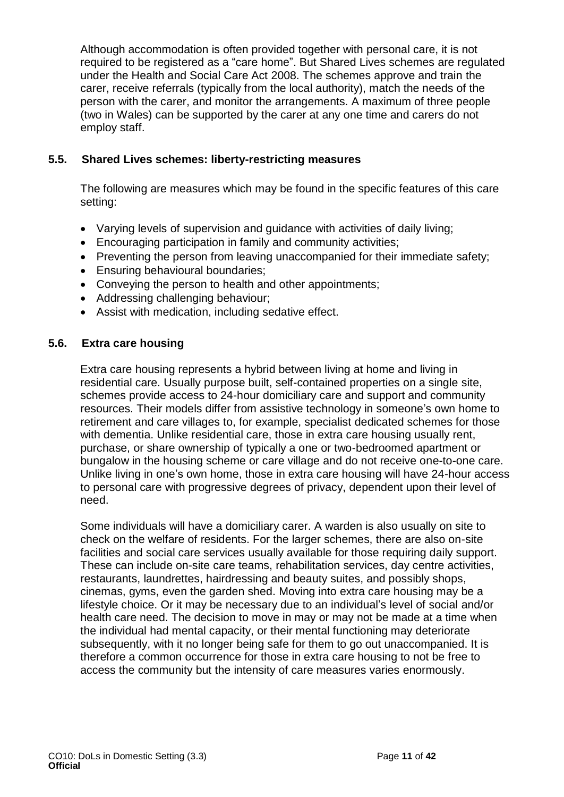Although accommodation is often provided together with personal care, it is not required to be registered as a "care home". But Shared Lives schemes are regulated under the Health and Social Care Act 2008. The schemes approve and train the carer, receive referrals (typically from the local authority), match the needs of the person with the carer, and monitor the arrangements. A maximum of three people (two in Wales) can be supported by the carer at any one time and carers do not employ staff.

## **5.5. Shared Lives schemes: liberty-restricting measures**

The following are measures which may be found in the specific features of this care setting:

- Varying levels of supervision and guidance with activities of daily living;
- Encouraging participation in family and community activities;
- Preventing the person from leaving unaccompanied for their immediate safety;
- Ensuring behavioural boundaries;
- Conveying the person to health and other appointments;
- Addressing challenging behaviour;
- Assist with medication, including sedative effect.

## **5.6. Extra care housing**

Extra care housing represents a hybrid between living at home and living in residential care. Usually purpose built, self-contained properties on a single site, schemes provide access to 24-hour domiciliary care and support and community resources. Their models differ from assistive technology in someone's own home to retirement and care villages to, for example, specialist dedicated schemes for those with dementia. Unlike residential care, those in extra care housing usually rent, purchase, or share ownership of typically a one or two-bedroomed apartment or bungalow in the housing scheme or care village and do not receive one-to-one care. Unlike living in one's own home, those in extra care housing will have 24-hour access to personal care with progressive degrees of privacy, dependent upon their level of need.

Some individuals will have a domiciliary carer. A warden is also usually on site to check on the welfare of residents. For the larger schemes, there are also on-site facilities and social care services usually available for those requiring daily support. These can include on-site care teams, rehabilitation services, day centre activities, restaurants, laundrettes, hairdressing and beauty suites, and possibly shops, cinemas, gyms, even the garden shed. Moving into extra care housing may be a lifestyle choice. Or it may be necessary due to an individual's level of social and/or health care need. The decision to move in may or may not be made at a time when the individual had mental capacity, or their mental functioning may deteriorate subsequently, with it no longer being safe for them to go out unaccompanied. It is therefore a common occurrence for those in extra care housing to not be free to access the community but the intensity of care measures varies enormously.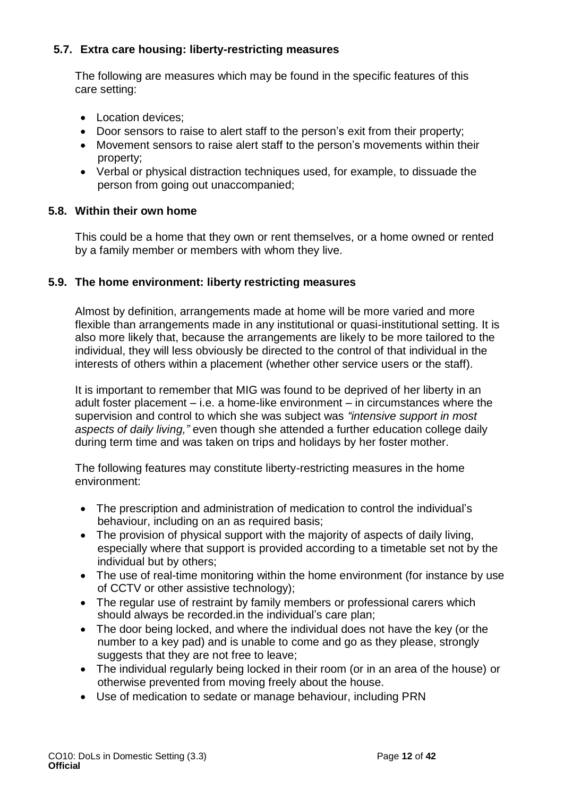## **5.7. Extra care housing: liberty-restricting measures**

The following are measures which may be found in the specific features of this care setting:

- Location devices:
- Door sensors to raise to alert staff to the person's exit from their property;
- Movement sensors to raise alert staff to the person's movements within their property;
- Verbal or physical distraction techniques used, for example, to dissuade the person from going out unaccompanied;

## **5.8. Within their own home**

This could be a home that they own or rent themselves, or a home owned or rented by a family member or members with whom they live.

## **5.9. The home environment: liberty restricting measures**

Almost by definition, arrangements made at home will be more varied and more flexible than arrangements made in any institutional or quasi-institutional setting. It is also more likely that, because the arrangements are likely to be more tailored to the individual, they will less obviously be directed to the control of that individual in the interests of others within a placement (whether other service users or the staff).

It is important to remember that MIG was found to be deprived of her liberty in an adult foster placement – i.e. a home-like environment – in circumstances where the supervision and control to which she was subject was *"intensive support in most aspects of daily living,"* even though she attended a further education college daily during term time and was taken on trips and holidays by her foster mother.

The following features may constitute liberty-restricting measures in the home environment:

- The prescription and administration of medication to control the individual's behaviour, including on an as required basis;
- The provision of physical support with the majority of aspects of daily living, especially where that support is provided according to a timetable set not by the individual but by others;
- The use of real-time monitoring within the home environment (for instance by use of CCTV or other assistive technology);
- The regular use of restraint by family members or professional carers which should always be recorded.in the individual's care plan;
- The door being locked, and where the individual does not have the key (or the number to a key pad) and is unable to come and go as they please, strongly suggests that they are not free to leave;
- The individual regularly being locked in their room (or in an area of the house) or otherwise prevented from moving freely about the house.
- Use of medication to sedate or manage behaviour, including PRN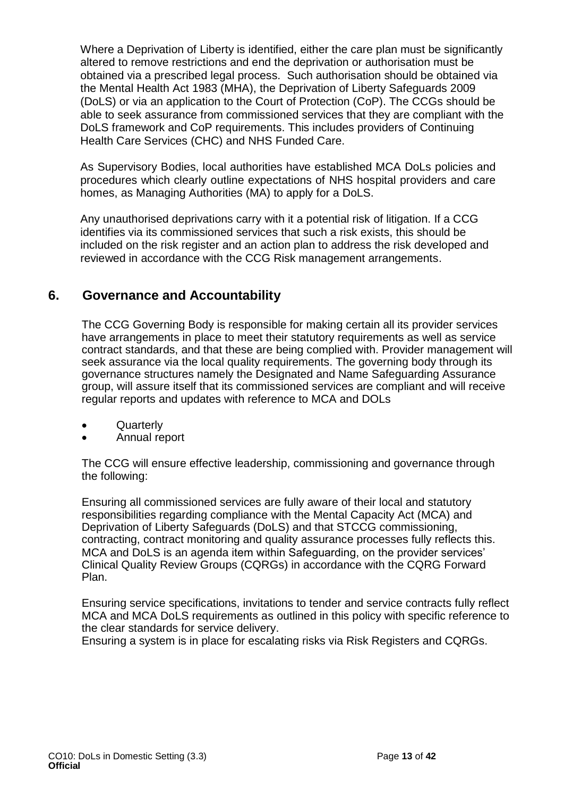Where a Deprivation of Liberty is identified, either the care plan must be significantly altered to remove restrictions and end the deprivation or authorisation must be obtained via a prescribed legal process. Such authorisation should be obtained via the Mental Health Act 1983 (MHA), the Deprivation of Liberty Safeguards 2009 (DoLS) or via an application to the Court of Protection (CoP). The CCGs should be able to seek assurance from commissioned services that they are compliant with the DoLS framework and CoP requirements. This includes providers of Continuing Health Care Services (CHC) and NHS Funded Care.

As Supervisory Bodies, local authorities have established MCA DoLs policies and procedures which clearly outline expectations of NHS hospital providers and care homes, as Managing Authorities (MA) to apply for a DoLS.

Any unauthorised deprivations carry with it a potential risk of litigation. If a CCG identifies via its commissioned services that such a risk exists, this should be included on the risk register and an action plan to address the risk developed and reviewed in accordance with the CCG Risk management arrangements.

## <span id="page-12-0"></span>**6. Governance and Accountability**

The CCG Governing Body is responsible for making certain all its provider services have arrangements in place to meet their statutory requirements as well as service contract standards, and that these are being complied with. Provider management will seek assurance via the local quality requirements. The governing body through its governance structures namely the Designated and Name Safeguarding Assurance group, will assure itself that its commissioned services are compliant and will receive regular reports and updates with reference to MCA and DOLs

- **Quarterly**
- Annual report

The CCG will ensure effective leadership, commissioning and governance through the following:

Ensuring all commissioned services are fully aware of their local and statutory responsibilities regarding compliance with the Mental Capacity Act (MCA) and Deprivation of Liberty Safeguards (DoLS) and that STCCG commissioning, contracting, contract monitoring and quality assurance processes fully reflects this. MCA and DoLS is an agenda item within Safeguarding, on the provider services' Clinical Quality Review Groups (CQRGs) in accordance with the CQRG Forward Plan.

Ensuring service specifications, invitations to tender and service contracts fully reflect MCA and MCA DoLS requirements as outlined in this policy with specific reference to the clear standards for service delivery.

Ensuring a system is in place for escalating risks via Risk Registers and CQRGs.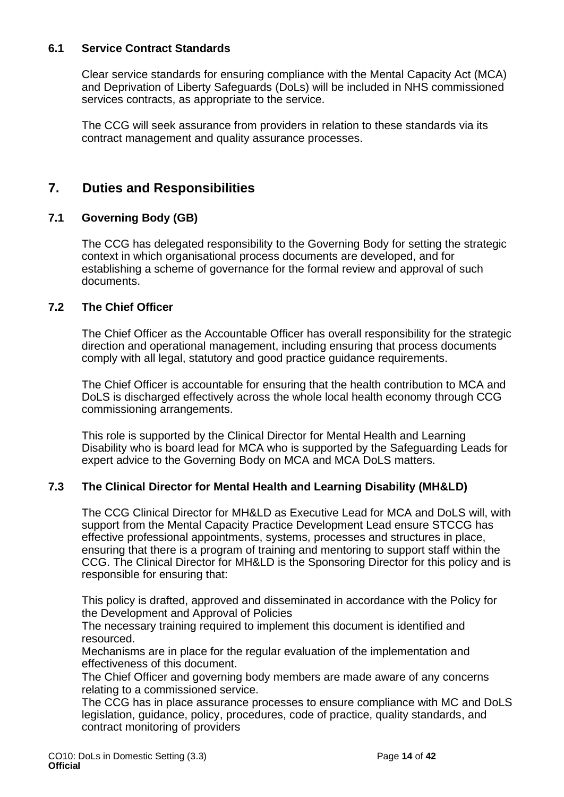## **6.1 Service Contract Standards**

Clear service standards for ensuring compliance with the Mental Capacity Act (MCA) and Deprivation of Liberty Safeguards (DoLs) will be included in NHS commissioned services contracts, as appropriate to the service.

The CCG will seek assurance from providers in relation to these standards via its contract management and quality assurance processes.

## <span id="page-13-0"></span>**7. Duties and Responsibilities**

## **7.1 Governing Body (GB)**

The CCG has delegated responsibility to the Governing Body for setting the strategic context in which organisational process documents are developed, and for establishing a scheme of governance for the formal review and approval of such documents.

### **7.2 The Chief Officer**

The Chief Officer as the Accountable Officer has overall responsibility for the strategic direction and operational management, including ensuring that process documents comply with all legal, statutory and good practice guidance requirements.

The Chief Officer is accountable for ensuring that the health contribution to MCA and DoLS is discharged effectively across the whole local health economy through CCG commissioning arrangements.

This role is supported by the Clinical Director for Mental Health and Learning Disability who is board lead for MCA who is supported by the Safeguarding Leads for expert advice to the Governing Body on MCA and MCA DoLS matters.

## **7.3 The Clinical Director for Mental Health and Learning Disability (MH&LD)**

The CCG Clinical Director for MH&LD as Executive Lead for MCA and DoLS will, with support from the Mental Capacity Practice Development Lead ensure STCCG has effective professional appointments, systems, processes and structures in place, ensuring that there is a program of training and mentoring to support staff within the CCG. The Clinical Director for MH&LD is the Sponsoring Director for this policy and is responsible for ensuring that:

This policy is drafted, approved and disseminated in accordance with the Policy for the Development and Approval of Policies

The necessary training required to implement this document is identified and resourced.

Mechanisms are in place for the regular evaluation of the implementation and effectiveness of this document.

The Chief Officer and governing body members are made aware of any concerns relating to a commissioned service.

The CCG has in place assurance processes to ensure compliance with MC and DoLS legislation, guidance, policy, procedures, code of practice, quality standards, and contract monitoring of providers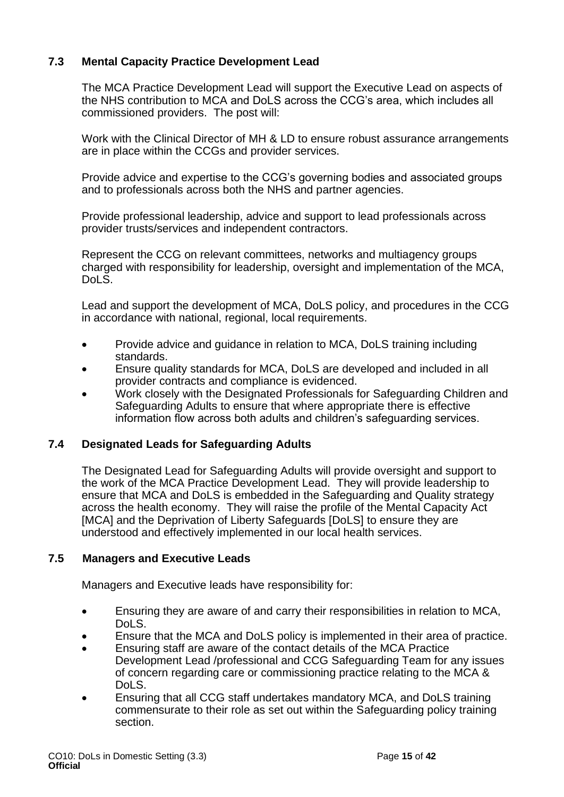## **7.3 Mental Capacity Practice Development Lead**

The MCA Practice Development Lead will support the Executive Lead on aspects of the NHS contribution to MCA and DoLS across the CCG's area, which includes all commissioned providers. The post will:

Work with the Clinical Director of MH & LD to ensure robust assurance arrangements are in place within the CCGs and provider services.

Provide advice and expertise to the CCG's governing bodies and associated groups and to professionals across both the NHS and partner agencies.

Provide professional leadership, advice and support to lead professionals across provider trusts/services and independent contractors.

Represent the CCG on relevant committees, networks and multiagency groups charged with responsibility for leadership, oversight and implementation of the MCA, Dol S.

Lead and support the development of MCA, DoLS policy, and procedures in the CCG in accordance with national, regional, local requirements.

- Provide advice and quidance in relation to MCA, DoLS training including standards.
- Ensure quality standards for MCA, DoLS are developed and included in all provider contracts and compliance is evidenced.
- Work closely with the Designated Professionals for Safeguarding Children and Safeguarding Adults to ensure that where appropriate there is effective information flow across both adults and children's safeguarding services.

### **7.4 Designated Leads for Safeguarding Adults**

The Designated Lead for Safeguarding Adults will provide oversight and support to the work of the MCA Practice Development Lead. They will provide leadership to ensure that MCA and DoLS is embedded in the Safeguarding and Quality strategy across the health economy. They will raise the profile of the Mental Capacity Act [MCA] and the Deprivation of Liberty Safeguards [DoLS] to ensure they are understood and effectively implemented in our local health services.

### **7.5 Managers and Executive Leads**

Managers and Executive leads have responsibility for:

- Ensuring they are aware of and carry their responsibilities in relation to MCA, DoLS.
- Ensure that the MCA and DoLS policy is implemented in their area of practice.
- Ensuring staff are aware of the contact details of the MCA Practice Development Lead /professional and CCG Safeguarding Team for any issues of concern regarding care or commissioning practice relating to the MCA & DoLS.
- Ensuring that all CCG staff undertakes mandatory MCA, and DoLS training commensurate to their role as set out within the Safeguarding policy training section.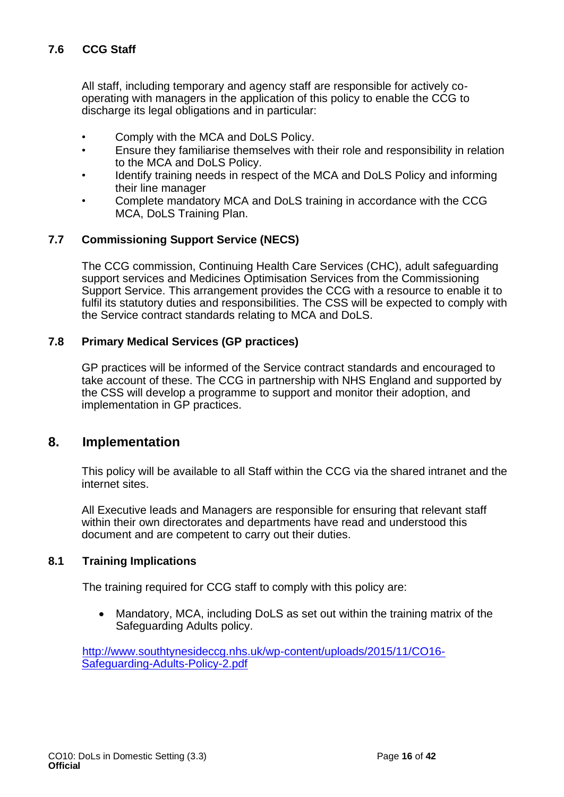## **7.6 CCG Staff**

All staff, including temporary and agency staff are responsible for actively cooperating with managers in the application of this policy to enable the CCG to discharge its legal obligations and in particular:

- Comply with the MCA and DoLS Policy.
- Ensure they familiarise themselves with their role and responsibility in relation to the MCA and DoLS Policy.
- Identify training needs in respect of the MCA and DoLS Policy and informing their line manager
- Complete mandatory MCA and DoLS training in accordance with the CCG MCA, DoLS Training Plan.

## **7.7 Commissioning Support Service (NECS)**

The CCG commission, Continuing Health Care Services (CHC), adult safeguarding support services and Medicines Optimisation Services from the Commissioning Support Service. This arrangement provides the CCG with a resource to enable it to fulfil its statutory duties and responsibilities. The CSS will be expected to comply with the Service contract standards relating to MCA and DoLS.

### **7.8 Primary Medical Services (GP practices)**

GP practices will be informed of the Service contract standards and encouraged to take account of these. The CCG in partnership with NHS England and supported by the CSS will develop a programme to support and monitor their adoption, and implementation in GP practices.

## <span id="page-15-0"></span>**8. Implementation**

This policy will be available to all Staff within the CCG via the shared intranet and the internet sites.

All Executive leads and Managers are responsible for ensuring that relevant staff within their own directorates and departments have read and understood this document and are competent to carry out their duties.

### **8.1 Training Implications**

The training required for CCG staff to comply with this policy are:

• Mandatory, MCA, including DoLS as set out within the training matrix of the Safeguarding Adults policy.

[http://www.southtynesideccg.nhs.uk/wp-content/uploads/2015/11/CO16-](http://www.southtynesideccg.nhs.uk/wp-content/uploads/2015/11/CO16-Safeguarding-Adults-Policy-2.pdf) [Safeguarding-Adults-Policy-2.pdf](http://www.southtynesideccg.nhs.uk/wp-content/uploads/2015/11/CO16-Safeguarding-Adults-Policy-2.pdf)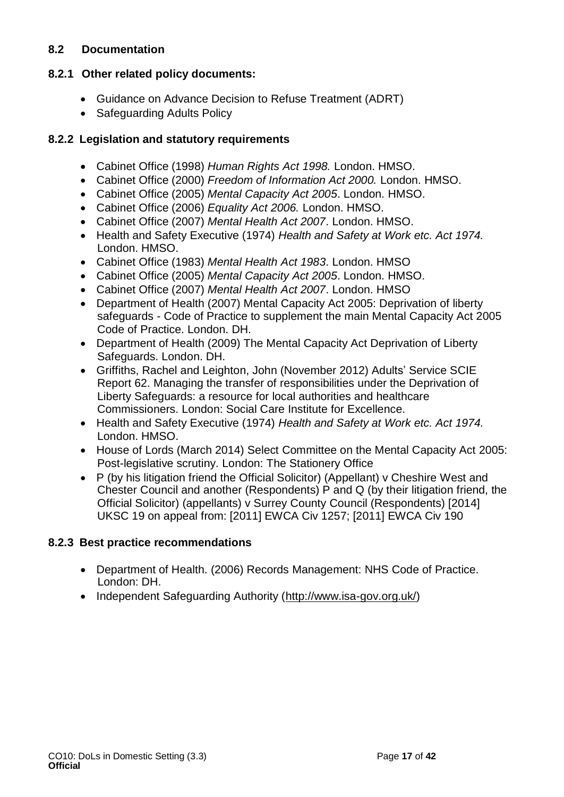## **8.2 Documentation**

## **8.2.1 Other related policy documents:**

- Guidance on Advance Decision to Refuse Treatment (ADRT)
- Safeguarding Adults Policy

## **8.2.2 Legislation and statutory requirements**

- Cabinet Office (1998) *Human Rights Act 1998.* London. HMSO.
- Cabinet Office (2000) *Freedom of Information Act 2000.* London. HMSO.
- Cabinet Office (2005) *Mental Capacity Act 2005*. London. HMSO.
- Cabinet Office (2006) *Equality Act 2006.* London. HMSO.
- Cabinet Office (2007) *Mental Health Act 2007*. London. HMSO.
- Health and Safety Executive (1974) *Health and Safety at Work etc. Act 1974.* London. HMSO.
- Cabinet Office (1983) *Mental Health Act 1983*. London. HMSO
- Cabinet Office (2005) *Mental Capacity Act 2005*. London. HMSO.
- Cabinet Office (2007) *Mental Health Act 2007*. London. HMSO
- Department of Health (2007) Mental Capacity Act 2005: Deprivation of liberty safeguards - Code of Practice to supplement the main Mental Capacity Act 2005 Code of Practice. London. DH.
- Department of Health (2009) The Mental Capacity Act Deprivation of Liberty Safeguards. London. DH.
- Griffiths, Rachel and Leighton, John (November 2012) Adults' Service SCIE Report 62. Managing the transfer of responsibilities under the Deprivation of Liberty Safeguards: a resource for local authorities and healthcare Commissioners. London: Social Care Institute for Excellence.
- Health and Safety Executive (1974) *Health and Safety at Work etc. Act 1974.* London. HMSO.
- House of Lords (March 2014) Select Committee on the Mental Capacity Act 2005: Post-legislative scrutiny. London: The Stationery Office
- P (by his litigation friend the Official Solicitor) (Appellant) v Cheshire West and Chester Council and another (Respondents) P and Q (by their litigation friend, the Official Solicitor) (appellants) v Surrey County Council (Respondents) [2014] UKSC 19 on appeal from: [2011] EWCA Civ 1257; [2011] EWCA Civ 190

## **8.2.3 Best practice recommendations**

- Department of Health. (2006) Records Management: NHS Code of Practice. London: DH.
- Independent Safeguarding Authority [\(http://www.isa-gov.org.uk/\)](http://www.isa-gov.org.uk/)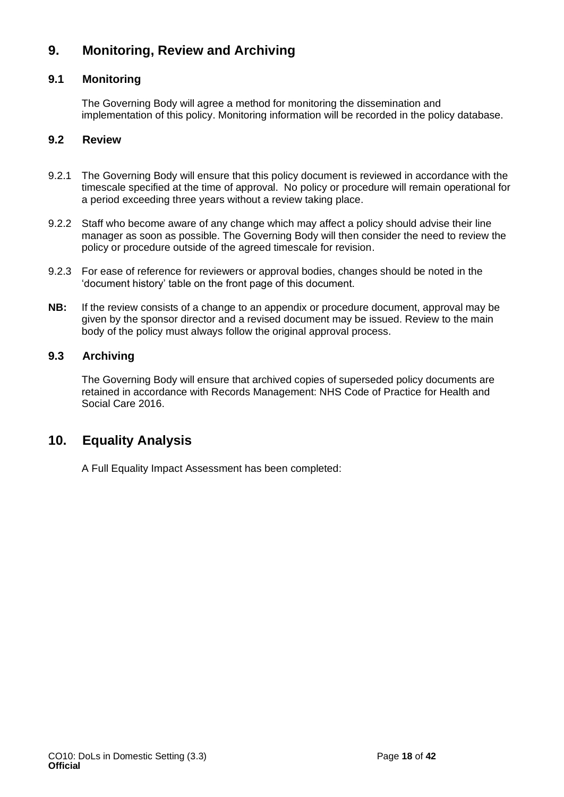## <span id="page-17-0"></span>**9. Monitoring, Review and Archiving**

## **9.1 Monitoring**

The Governing Body will agree a method for monitoring the dissemination and implementation of this policy. Monitoring information will be recorded in the policy database.

### **9.2 Review**

- 9.2.1 The Governing Body will ensure that this policy document is reviewed in accordance with the timescale specified at the time of approval. No policy or procedure will remain operational for a period exceeding three years without a review taking place.
- 9.2.2 Staff who become aware of any change which may affect a policy should advise their line manager as soon as possible. The Governing Body will then consider the need to review the policy or procedure outside of the agreed timescale for revision.
- 9.2.3 For ease of reference for reviewers or approval bodies, changes should be noted in the 'document history' table on the front page of this document.
- **NB:** If the review consists of a change to an appendix or procedure document, approval may be given by the sponsor director and a revised document may be issued. Review to the main body of the policy must always follow the original approval process.

### **9.3 Archiving**

The Governing Body will ensure that archived copies of superseded policy documents are retained in accordance with Records Management: NHS Code of Practice for Health and Social Care 2016.

## <span id="page-17-1"></span>**10. Equality Analysis**

A Full Equality Impact Assessment has been completed: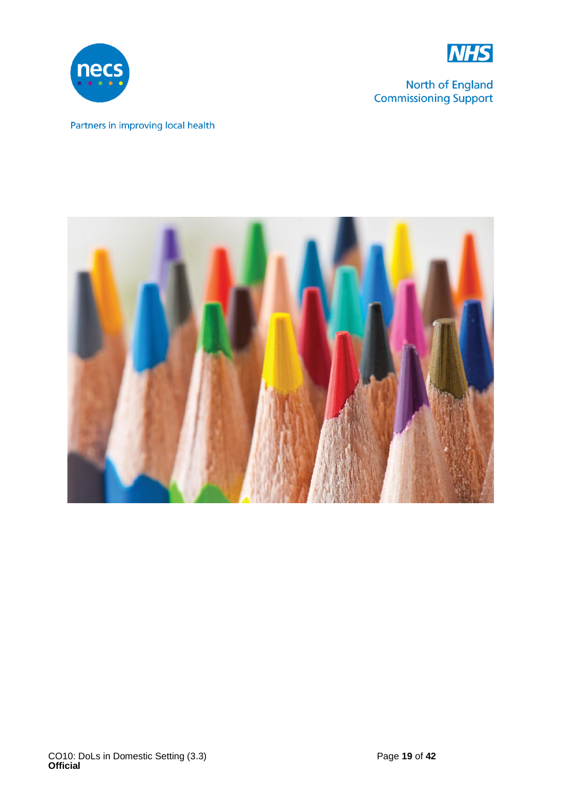



North of England **Commissioning Support** 

## Partners in improving local health

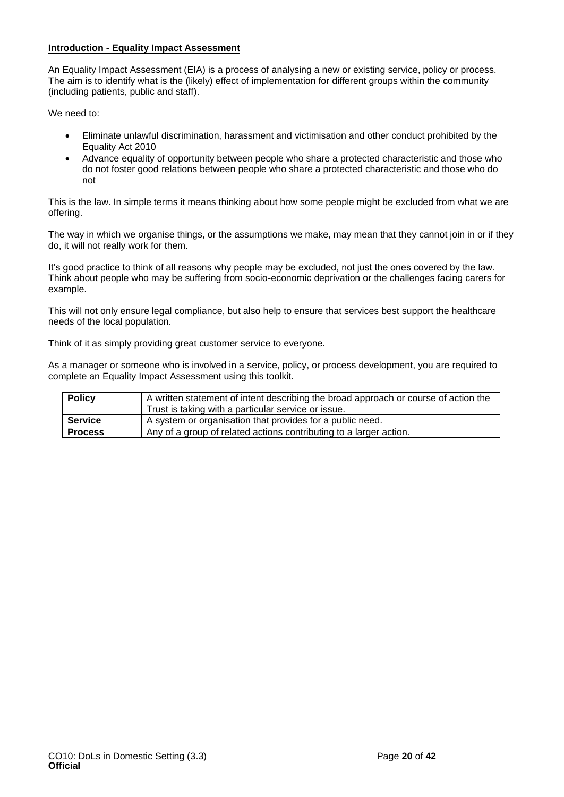#### **Introduction - Equality Impact Assessment**

An Equality Impact Assessment (EIA) is a process of analysing a new or existing service, policy or process. The aim is to identify what is the (likely) effect of implementation for different groups within the community (including patients, public and staff).

We need to:

- Eliminate unlawful discrimination, harassment and victimisation and other conduct prohibited by the Equality Act 2010
- Advance equality of opportunity between people who share a protected characteristic and those who do not foster good relations between people who share a protected characteristic and those who do not

This is the law. In simple terms it means thinking about how some people might be excluded from what we are offering.

The way in which we organise things, or the assumptions we make, may mean that they cannot join in or if they do, it will not really work for them.

It's good practice to think of all reasons why people may be excluded, not just the ones covered by the law. Think about people who may be suffering from socio-economic deprivation or the challenges facing carers for example.

This will not only ensure legal compliance, but also help to ensure that services best support the healthcare needs of the local population.

Think of it as simply providing great customer service to everyone.

As a manager or someone who is involved in a service, policy, or process development, you are required to complete an Equality Impact Assessment using this toolkit.

| <b>Policy</b>  | A written statement of intent describing the broad approach or course of action the |  |  |
|----------------|-------------------------------------------------------------------------------------|--|--|
|                | Trust is taking with a particular service or issue.                                 |  |  |
| <b>Service</b> | A system or organisation that provides for a public need.                           |  |  |
| <b>Process</b> | Any of a group of related actions contributing to a larger action.                  |  |  |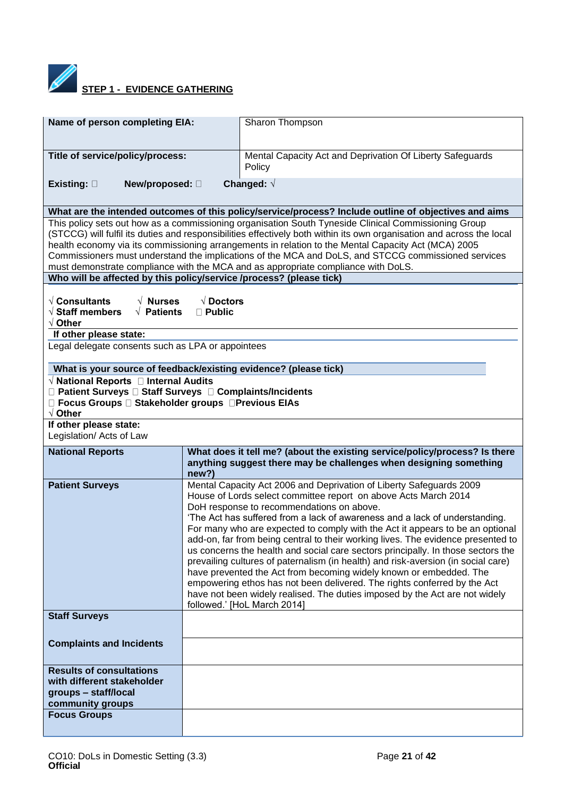

**STEP 1 - EVIDENCE GATHERING** 

| Name of person completing EIA:                                                                                   |                                                                                                                                                                                                                                                                                                                                                                                                                                                                                                                                                                                                                                                                                                                                                                                                                                                                                  | Sharon Thompson                                                                                                                                                                                                                                                                                                                                                                                                                                                                                                                  |  |
|------------------------------------------------------------------------------------------------------------------|----------------------------------------------------------------------------------------------------------------------------------------------------------------------------------------------------------------------------------------------------------------------------------------------------------------------------------------------------------------------------------------------------------------------------------------------------------------------------------------------------------------------------------------------------------------------------------------------------------------------------------------------------------------------------------------------------------------------------------------------------------------------------------------------------------------------------------------------------------------------------------|----------------------------------------------------------------------------------------------------------------------------------------------------------------------------------------------------------------------------------------------------------------------------------------------------------------------------------------------------------------------------------------------------------------------------------------------------------------------------------------------------------------------------------|--|
| Title of service/policy/process:                                                                                 |                                                                                                                                                                                                                                                                                                                                                                                                                                                                                                                                                                                                                                                                                                                                                                                                                                                                                  | Mental Capacity Act and Deprivation Of Liberty Safeguards<br>Policy                                                                                                                                                                                                                                                                                                                                                                                                                                                              |  |
| Existing: $\square$<br>New/proposed: 0                                                                           |                                                                                                                                                                                                                                                                                                                                                                                                                                                                                                                                                                                                                                                                                                                                                                                                                                                                                  | Changed: $\sqrt{ }$                                                                                                                                                                                                                                                                                                                                                                                                                                                                                                              |  |
|                                                                                                                  |                                                                                                                                                                                                                                                                                                                                                                                                                                                                                                                                                                                                                                                                                                                                                                                                                                                                                  | What are the intended outcomes of this policy/service/process? Include outline of objectives and aims                                                                                                                                                                                                                                                                                                                                                                                                                            |  |
| Who will be affected by this policy/service /process? (please tick)                                              |                                                                                                                                                                                                                                                                                                                                                                                                                                                                                                                                                                                                                                                                                                                                                                                                                                                                                  | This policy sets out how as a commissioning organisation South Tyneside Clinical Commissioning Group<br>(STCCG) will fulfil its duties and responsibilities effectively both within its own organisation and across the local<br>health economy via its commissioning arrangements in relation to the Mental Capacity Act (MCA) 2005<br>Commissioners must understand the implications of the MCA and DoLS, and STCCG commissioned services<br>must demonstrate compliance with the MCA and as appropriate compliance with DoLS. |  |
|                                                                                                                  |                                                                                                                                                                                                                                                                                                                                                                                                                                                                                                                                                                                                                                                                                                                                                                                                                                                                                  |                                                                                                                                                                                                                                                                                                                                                                                                                                                                                                                                  |  |
| $\sqrt{ }$ Consultants<br>$\sqrt{N}$ Nurses<br>$\sqrt{ }$ Staff members<br>$\sqrt{}$ Patients<br>$\sqrt{}$ Other | $\sqrt{}$ Doctors<br>$\Box$ Public                                                                                                                                                                                                                                                                                                                                                                                                                                                                                                                                                                                                                                                                                                                                                                                                                                               |                                                                                                                                                                                                                                                                                                                                                                                                                                                                                                                                  |  |
| If other please state:<br>Legal delegate consents such as LPA or appointees                                      |                                                                                                                                                                                                                                                                                                                                                                                                                                                                                                                                                                                                                                                                                                                                                                                                                                                                                  |                                                                                                                                                                                                                                                                                                                                                                                                                                                                                                                                  |  |
| What is your source of feedback/existing evidence? (please tick)                                                 |                                                                                                                                                                                                                                                                                                                                                                                                                                                                                                                                                                                                                                                                                                                                                                                                                                                                                  |                                                                                                                                                                                                                                                                                                                                                                                                                                                                                                                                  |  |
| $\sqrt{ }$ National Reports $\Box$ Internal Audits                                                               |                                                                                                                                                                                                                                                                                                                                                                                                                                                                                                                                                                                                                                                                                                                                                                                                                                                                                  |                                                                                                                                                                                                                                                                                                                                                                                                                                                                                                                                  |  |
| □ Patient Surveys □ Staff Surveys □ Complaints/Incidents                                                         |                                                                                                                                                                                                                                                                                                                                                                                                                                                                                                                                                                                                                                                                                                                                                                                                                                                                                  |                                                                                                                                                                                                                                                                                                                                                                                                                                                                                                                                  |  |
| □ Focus Groups □ Stakeholder groups □ Previous EIAs<br>$\sqrt{}$ Other                                           |                                                                                                                                                                                                                                                                                                                                                                                                                                                                                                                                                                                                                                                                                                                                                                                                                                                                                  |                                                                                                                                                                                                                                                                                                                                                                                                                                                                                                                                  |  |
| If other please state:                                                                                           |                                                                                                                                                                                                                                                                                                                                                                                                                                                                                                                                                                                                                                                                                                                                                                                                                                                                                  |                                                                                                                                                                                                                                                                                                                                                                                                                                                                                                                                  |  |
| Legislation/ Acts of Law                                                                                         |                                                                                                                                                                                                                                                                                                                                                                                                                                                                                                                                                                                                                                                                                                                                                                                                                                                                                  |                                                                                                                                                                                                                                                                                                                                                                                                                                                                                                                                  |  |
| <b>National Reports</b>                                                                                          | What does it tell me? (about the existing service/policy/process? Is there<br>anything suggest there may be challenges when designing something<br>new?)                                                                                                                                                                                                                                                                                                                                                                                                                                                                                                                                                                                                                                                                                                                         |                                                                                                                                                                                                                                                                                                                                                                                                                                                                                                                                  |  |
| <b>Patient Surveys</b>                                                                                           | Mental Capacity Act 2006 and Deprivation of Liberty Safeguards 2009<br>House of Lords select committee report on above Acts March 2014<br>DoH response to recommendations on above.<br>'The Act has suffered from a lack of awareness and a lack of understanding.<br>For many who are expected to comply with the Act it appears to be an optional<br>add-on, far from being central to their working lives. The evidence presented to<br>us concerns the health and social care sectors principally. In those sectors the<br>prevailing cultures of paternalism (in health) and risk-aversion (in social care)<br>have prevented the Act from becoming widely known or embedded. The<br>empowering ethos has not been delivered. The rights conferred by the Act<br>have not been widely realised. The duties imposed by the Act are not widely<br>followed.' [HoL March 2014] |                                                                                                                                                                                                                                                                                                                                                                                                                                                                                                                                  |  |
| <b>Staff Surveys</b>                                                                                             |                                                                                                                                                                                                                                                                                                                                                                                                                                                                                                                                                                                                                                                                                                                                                                                                                                                                                  |                                                                                                                                                                                                                                                                                                                                                                                                                                                                                                                                  |  |
| <b>Complaints and Incidents</b>                                                                                  |                                                                                                                                                                                                                                                                                                                                                                                                                                                                                                                                                                                                                                                                                                                                                                                                                                                                                  |                                                                                                                                                                                                                                                                                                                                                                                                                                                                                                                                  |  |
| <b>Results of consultations</b>                                                                                  |                                                                                                                                                                                                                                                                                                                                                                                                                                                                                                                                                                                                                                                                                                                                                                                                                                                                                  |                                                                                                                                                                                                                                                                                                                                                                                                                                                                                                                                  |  |
| with different stakeholder                                                                                       |                                                                                                                                                                                                                                                                                                                                                                                                                                                                                                                                                                                                                                                                                                                                                                                                                                                                                  |                                                                                                                                                                                                                                                                                                                                                                                                                                                                                                                                  |  |
| groups - staff/local<br>community groups                                                                         |                                                                                                                                                                                                                                                                                                                                                                                                                                                                                                                                                                                                                                                                                                                                                                                                                                                                                  |                                                                                                                                                                                                                                                                                                                                                                                                                                                                                                                                  |  |
| <b>Focus Groups</b>                                                                                              |                                                                                                                                                                                                                                                                                                                                                                                                                                                                                                                                                                                                                                                                                                                                                                                                                                                                                  |                                                                                                                                                                                                                                                                                                                                                                                                                                                                                                                                  |  |
|                                                                                                                  |                                                                                                                                                                                                                                                                                                                                                                                                                                                                                                                                                                                                                                                                                                                                                                                                                                                                                  |                                                                                                                                                                                                                                                                                                                                                                                                                                                                                                                                  |  |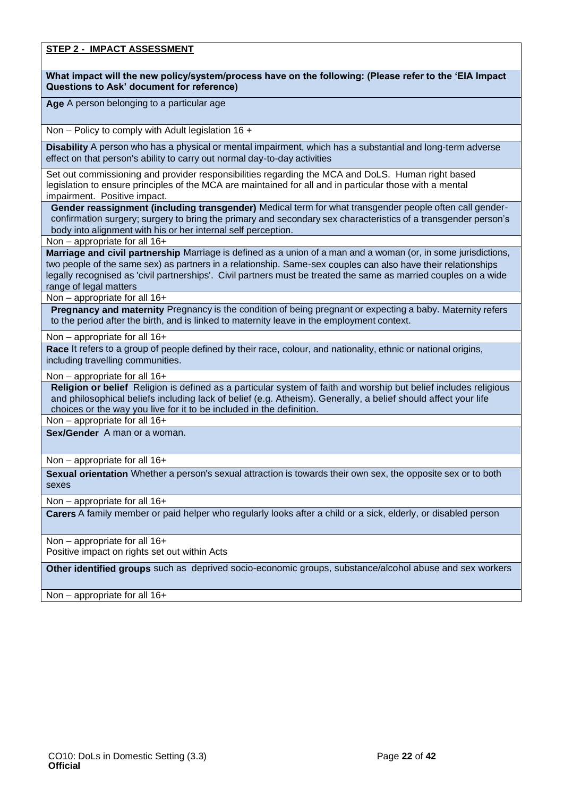#### **STEP 2 - IMPACT ASSESSMENT**

**What impact will the new policy/system/process have on the following: (Please refer to the 'EIA Impact Questions to Ask' document for reference)**

**Age** A person belonging to a particular age

Non – Policy to comply with Adult legislation 16 +

**Disability** A person who has a physical or mental impairment, which has a substantial and long-term adverse effect on that person's ability to carry out normal day-to-day activities

Set out commissioning and provider responsibilities regarding the MCA and DoLS. Human right based legislation to ensure principles of the MCA are maintained for all and in particular those with a mental impairment. Positive impact.

**Gender reassignment (including transgender)** Medical term for what transgender people often call genderconfirmation surgery; surgery to bring the primary and secondary sex characteristics of a transgender person's body into alignment with his or her internal self perception.

Non – appropriate for all 16+

**Marriage and civil partnership** Marriage is defined as a union of a man and a woman (or, in some jurisdictions, two people of the same sex) as partners in a relationship. Same-sex couples can also have their relationships legally recognised as 'civil partnerships'. Civil partners must be treated the same as married couples on a wide range of legal matters

#### Non – appropriate for all 16+

**Pregnancy and maternity** Pregnancy is the condition of being pregnant or expecting a baby. Maternity refers to the period after the birth, and is linked to maternity leave in the employment context.

Non – appropriate for all 16+

**Race** It refers to a group of people defined by their race, colour, and nationality, ethnic or national origins, including travelling communities.

#### Non – appropriate for all 16+

**Religion or belief** Religion is defined as a particular system of faith and worship but belief includes religious and philosophical beliefs including lack of belief (e.g. Atheism). Generally, a belief should affect your life choices or the way you live for it to be included in the definition.

Non – appropriate for all 16+

**Sex/Gender** A man or a woman.

Non – appropriate for all 16+

**Sexual orientation** Whether a person's sexual attraction is towards their own sex, the opposite sex or to both sexes

Non – appropriate for all 16+

**Carers** A family member or paid [helper](http://www.oxforddictionaries.com/definition/english/%20http:/www.oxforddictionaries.com/definition/english/helper#helper__2) who regularly looks after a child or a [sick,](http://www.oxforddictionaries.com/definition/english/%20http:/www.oxforddictionaries.com/definition/english/sick#sick__2) [elderly,](http://www.oxforddictionaries.com/definition/english/%20http:/www.oxforddictionaries.com/definition/english/elderly#elderly__2) or [disabled](http://www.oxforddictionaries.com/definition/english/%20http:/www.oxforddictionaries.com/definition/english/disabled#disabled__2) person

Non – appropriate for all 16+ Positive impact on rights set out within Acts

**Other identified groups** such as deprived socio-economic groups, substance/alcohol abuse and sex workers

Non – appropriate for all 16+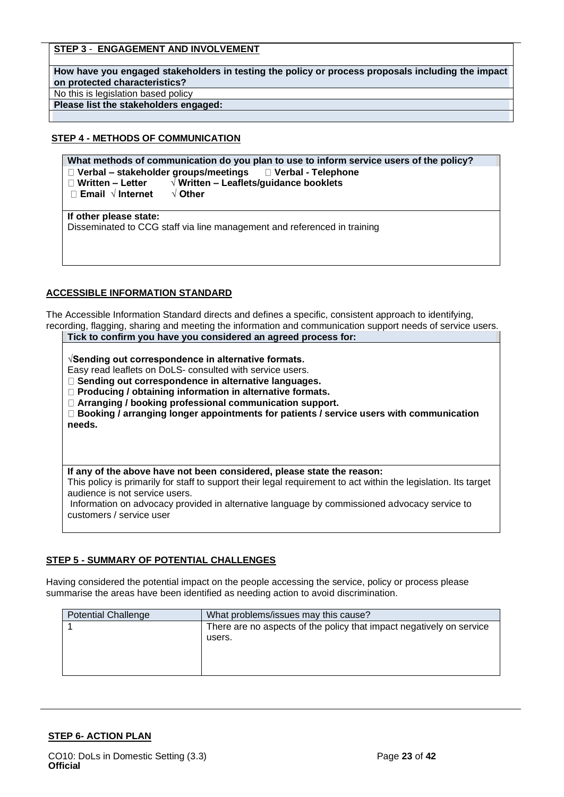#### **STEP 3** - **ENGAGEMENT AND INVOLVEMENT**

**How have you engaged stakeholders in testing the policy or process proposals including the impact on protected characteristics?**

No this is legislation based policy

**Please list the stakeholders engaged:**

#### **STEP 4 - METHODS OF COMMUNICATION**

**What methods of communication do you plan to use to inform service users of the policy?**

- **Verbal – stakeholder groups/meetings Verbal - Telephone**
- **Written – Letter √ Written – Leaflets/guidance booklets**

**Email √ Internet √ Other**

**If other please state:**

Disseminated to CCG staff via line management and referenced in training

#### **ACCESSIBLE INFORMATION STANDARD**

The Accessible Information Standard directs and defines a specific, consistent approach to identifying, recording, flagging, sharing and meeting the information and communication support needs of service users. **Tick to confirm you have you considered an agreed process for:**

**√Sending out correspondence in alternative formats.** 

Easy read leaflets on DoLS- consulted with service users.

**Sending out correspondence in alternative languages.** 

**Producing / obtaining information in alternative formats.** 

**Arranging / booking professional communication support.** 

**Booking / arranging longer appointments for patients / service users with communication needs.**

#### **If any of the above have not been considered, please state the reason:**

This policy is primarily for staff to support their legal requirement to act within the legislation. Its target audience is not service users.

Information on advocacy provided in alternative language by commissioned advocacy service to customers / service user

#### **STEP 5 - SUMMARY OF POTENTIAL CHALLENGES**

Having considered the potential impact on the people accessing the service, policy or process please summarise the areas have been identified as needing action to avoid discrimination.

| <b>Potential Challenge</b> | What problems/issues may this cause?                                 |  |  |
|----------------------------|----------------------------------------------------------------------|--|--|
|                            | There are no aspects of the policy that impact negatively on service |  |  |
|                            | users.                                                               |  |  |
|                            |                                                                      |  |  |
|                            |                                                                      |  |  |
|                            |                                                                      |  |  |

#### **STEP 6- ACTION PLAN**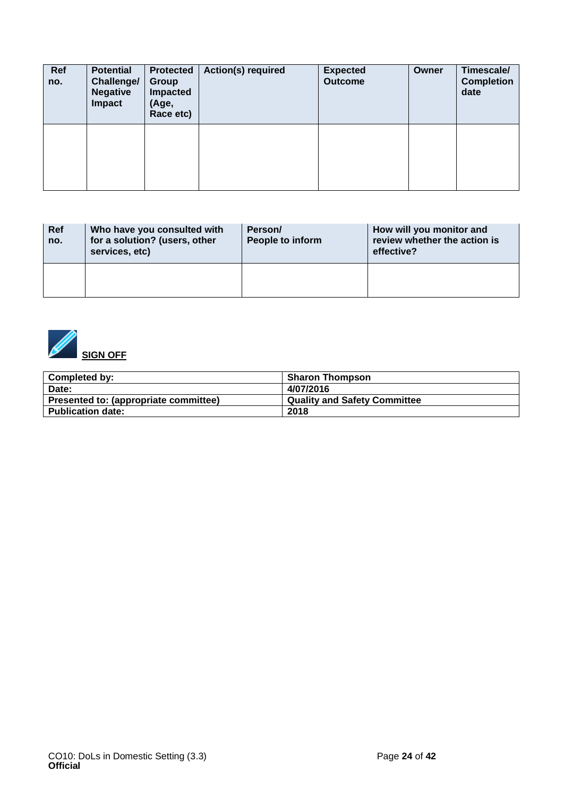| Ref<br>no. | <b>Potential</b><br>Challenge/<br><b>Negative</b><br>Impact | <b>Protected</b><br><b>Group</b><br>Impacted<br>(Age,<br>Race etc) | <b>Action(s) required</b> | <b>Expected</b><br><b>Outcome</b> | Owner | Timescale/<br><b>Completion</b><br>date |
|------------|-------------------------------------------------------------|--------------------------------------------------------------------|---------------------------|-----------------------------------|-------|-----------------------------------------|
|            |                                                             |                                                                    |                           |                                   |       |                                         |

| Ref<br>no. | Who have you consulted with<br>for a solution? (users, other<br>services, etc) | Person/<br>People to inform | How will you monitor and<br>review whether the action is<br>effective? |  |
|------------|--------------------------------------------------------------------------------|-----------------------------|------------------------------------------------------------------------|--|
|            |                                                                                |                             |                                                                        |  |



| <b>Completed by:</b>                  | <b>Sharon Thompson</b>       |
|---------------------------------------|------------------------------|
| Date:                                 | 4/07/2016                    |
| Presented to: (appropriate committee) | Quality and Safety Committee |
| <b>Publication date:</b>              | 2018                         |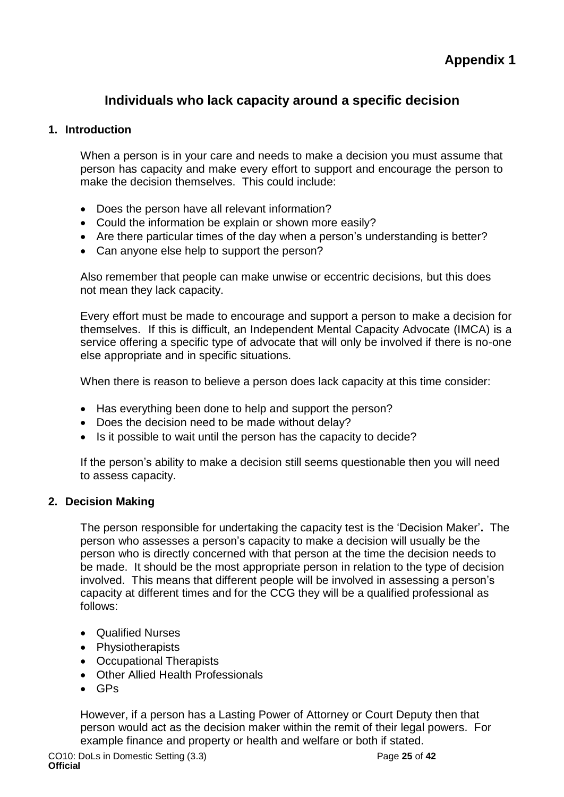## <span id="page-24-0"></span>**Individuals who lack capacity around a specific decision**

## <span id="page-24-1"></span>**1. Introduction**

When a person is in your care and needs to make a decision you must assume that person has capacity and make every effort to support and encourage the person to make the decision themselves. This could include:

- Does the person have all relevant information?
- Could the information be explain or shown more easily?
- Are there particular times of the day when a person's understanding is better?
- Can anyone else help to support the person?

Also remember that people can make unwise or eccentric decisions, but this does not mean they lack capacity.

Every effort must be made to encourage and support a person to make a decision for themselves. If this is difficult, an Independent Mental Capacity Advocate (IMCA) is a service offering a specific type of advocate that will only be involved if there is no-one else appropriate and in specific situations.

When there is reason to believe a person does lack capacity at this time consider:

- Has everything been done to help and support the person?
- Does the decision need to be made without delay?
- Is it possible to wait until the person has the capacity to decide?

If the person's ability to make a decision still seems questionable then you will need to assess capacity.

### **2. Decision Making**

The person responsible for undertaking the capacity test is the 'Decision Maker'**.** The person who assesses a person's capacity to make a decision will usually be the person who is directly concerned with that person at the time the decision needs to be made. It should be the most appropriate person in relation to the type of decision involved. This means that different people will be involved in assessing a person's capacity at different times and for the CCG they will be a qualified professional as follows:

- Qualified Nurses
- Physiotherapists
- Occupational Therapists
- Other Allied Health Professionals
- GPs

However, if a person has a Lasting Power of Attorney or Court Deputy then that person would act as the decision maker within the remit of their legal powers. For example finance and property or health and welfare or both if stated.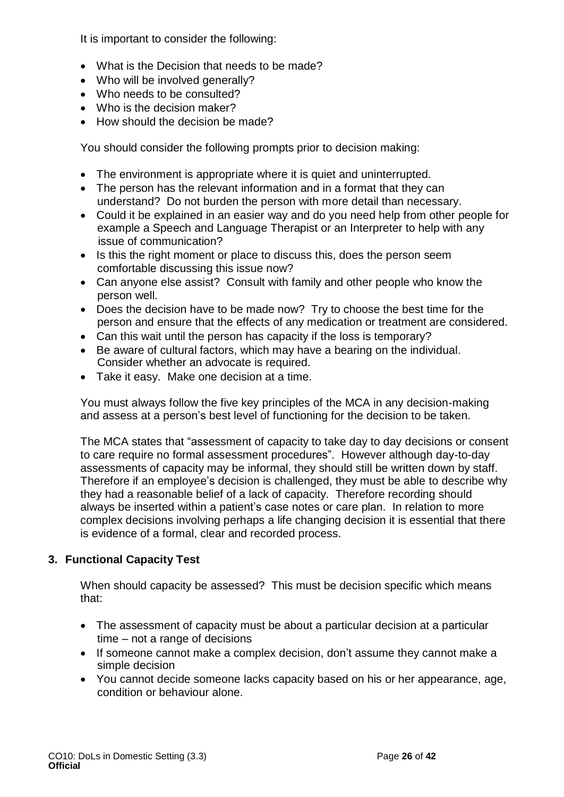It is important to consider the following:

- What is the Decision that needs to be made?
- Who will be involved generally?
- Who needs to be consulted?
- Who is the decision maker?
- How should the decision be made?

You should consider the following prompts prior to decision making:

- The environment is appropriate where it is quiet and uninterrupted.
- The person has the relevant information and in a format that they can understand? Do not burden the person with more detail than necessary.
- Could it be explained in an easier way and do you need help from other people for example a Speech and Language Therapist or an Interpreter to help with any issue of communication?
- Is this the right moment or place to discuss this, does the person seem comfortable discussing this issue now?
- Can anyone else assist? Consult with family and other people who know the person well.
- Does the decision have to be made now? Try to choose the best time for the person and ensure that the effects of any medication or treatment are considered.
- Can this wait until the person has capacity if the loss is temporary?
- Be aware of cultural factors, which may have a bearing on the individual. Consider whether an advocate is required.
- Take it easy. Make one decision at a time.

You must always follow the five key principles of the MCA in any decision-making and assess at a person's best level of functioning for the decision to be taken.

The MCA states that "assessment of capacity to take day to day decisions or consent to care require no formal assessment procedures". However although day-to-day assessments of capacity may be informal, they should still be written down by staff. Therefore if an employee's decision is challenged, they must be able to describe why they had a reasonable belief of a lack of capacity. Therefore recording should always be inserted within a patient's case notes or care plan. In relation to more complex decisions involving perhaps a life changing decision it is essential that there is evidence of a formal, clear and recorded process.

## **3. Functional Capacity Test**

When should capacity be assessed? This must be decision specific which means that:

- The assessment of capacity must be about a particular decision at a particular time – not a range of decisions
- If someone cannot make a complex decision, don't assume they cannot make a simple decision
- You cannot decide someone lacks capacity based on his or her appearance, age, condition or behaviour alone.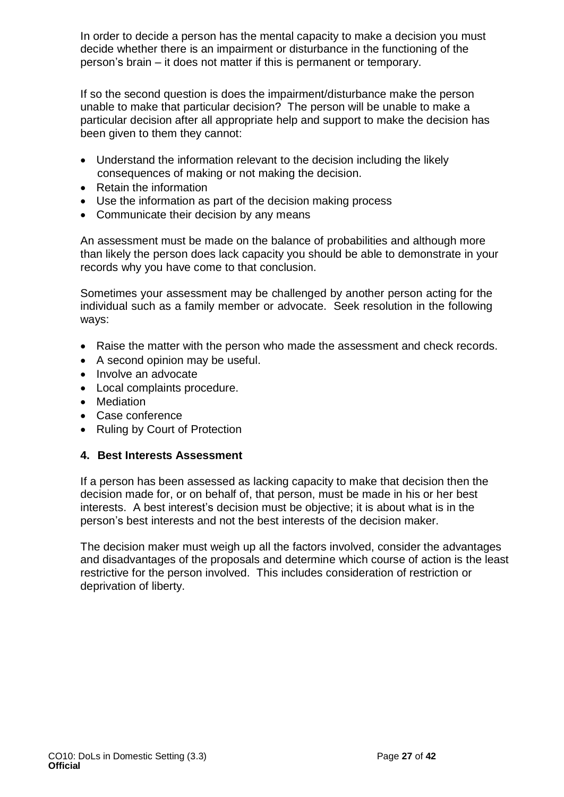In order to decide a person has the mental capacity to make a decision you must decide whether there is an impairment or disturbance in the functioning of the person's brain – it does not matter if this is permanent or temporary.

If so the second question is does the impairment/disturbance make the person unable to make that particular decision? The person will be unable to make a particular decision after all appropriate help and support to make the decision has been given to them they cannot:

- Understand the information relevant to the decision including the likely consequences of making or not making the decision.
- Retain the information
- Use the information as part of the decision making process
- Communicate their decision by any means

An assessment must be made on the balance of probabilities and although more than likely the person does lack capacity you should be able to demonstrate in your records why you have come to that conclusion.

Sometimes your assessment may be challenged by another person acting for the individual such as a family member or advocate. Seek resolution in the following ways:

- Raise the matter with the person who made the assessment and check records.
- A second opinion may be useful.
- Involve an advocate
- Local complaints procedure.
- Mediation
- Case conference
- Ruling by Court of Protection

### **4. Best Interests Assessment**

If a person has been assessed as lacking capacity to make that decision then the decision made for, or on behalf of, that person, must be made in his or her best interests. A best interest's decision must be objective; it is about what is in the person's best interests and not the best interests of the decision maker.

The decision maker must weigh up all the factors involved, consider the advantages and disadvantages of the proposals and determine which course of action is the least restrictive for the person involved. This includes consideration of restriction or deprivation of liberty.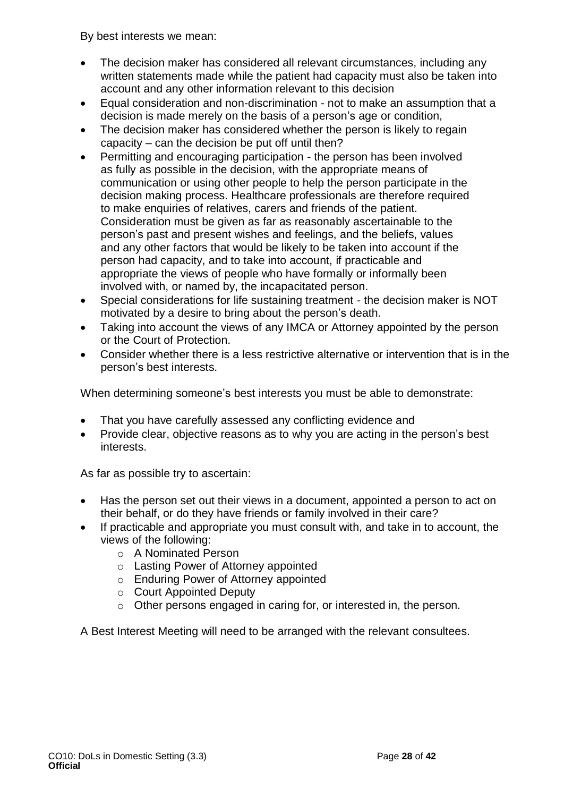By best interests we mean:

- The decision maker has considered all relevant circumstances, including any written statements made while the patient had capacity must also be taken into account and any other information relevant to this decision
- Equal consideration and non-discrimination not to make an assumption that a decision is made merely on the basis of a person's age or condition,
- The decision maker has considered whether the person is likely to regain capacity – can the decision be put off until then?
- Permitting and encouraging participation the person has been involved as fully as possible in the decision, with the appropriate means of communication or using other people to help the person participate in the decision making process. Healthcare professionals are therefore required to make enquiries of relatives, carers and friends of the patient. Consideration must be given as far as reasonably ascertainable to the person's past and present wishes and feelings, and the beliefs, values and any other factors that would be likely to be taken into account if the person had capacity, and to take into account, if practicable and appropriate the views of people who have formally or informally been involved with, or named by, the incapacitated person.
- Special considerations for life sustaining treatment the decision maker is NOT motivated by a desire to bring about the person's death.
- Taking into account the views of any IMCA or Attorney appointed by the person or the Court of Protection.
- Consider whether there is a less restrictive alternative or intervention that is in the person's best interests.

When determining someone's best interests you must be able to demonstrate:

- That you have carefully assessed any conflicting evidence and
- Provide clear, objective reasons as to why you are acting in the person's best interests.

As far as possible try to ascertain:

- Has the person set out their views in a document, appointed a person to act on their behalf, or do they have friends or family involved in their care?
- If practicable and appropriate you must consult with, and take in to account, the views of the following:
	- o A Nominated Person
	- o Lasting Power of Attorney appointed
	- o Enduring Power of Attorney appointed
	- o Court Appointed Deputy
	- o Other persons engaged in caring for, or interested in, the person.

A Best Interest Meeting will need to be arranged with the relevant consultees.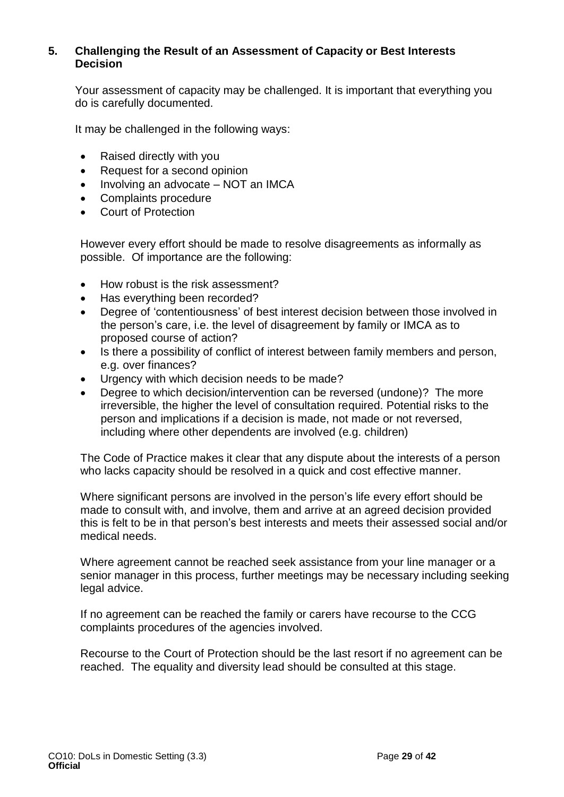## **5. Challenging the Result of an Assessment of Capacity or Best Interests Decision**

Your assessment of capacity may be challenged. It is important that everything you do is carefully documented.

It may be challenged in the following ways:

- Raised directly with you
- Request for a second opinion
- Involving an advocate NOT an IMCA
- Complaints procedure
- Court of Protection

However every effort should be made to resolve disagreements as informally as possible. Of importance are the following:

- How robust is the risk assessment?
- Has everything been recorded?
- Degree of 'contentiousness' of best interest decision between those involved in the person's care, i.e. the level of disagreement by family or IMCA as to proposed course of action?
- Is there a possibility of conflict of interest between family members and person, e.g. over finances?
- Urgency with which decision needs to be made?
- Degree to which decision/intervention can be reversed (undone)? The more irreversible, the higher the level of consultation required. Potential risks to the person and implications if a decision is made, not made or not reversed, including where other dependents are involved (e.g. children)

The Code of Practice makes it clear that any dispute about the interests of a person who lacks capacity should be resolved in a quick and cost effective manner.

Where significant persons are involved in the person's life every effort should be made to consult with, and involve, them and arrive at an agreed decision provided this is felt to be in that person's best interests and meets their assessed social and/or medical needs.

Where agreement cannot be reached seek assistance from your line manager or a senior manager in this process, further meetings may be necessary including seeking legal advice.

If no agreement can be reached the family or carers have recourse to the CCG complaints procedures of the agencies involved.

Recourse to the Court of Protection should be the last resort if no agreement can be reached. The equality and diversity lead should be consulted at this stage.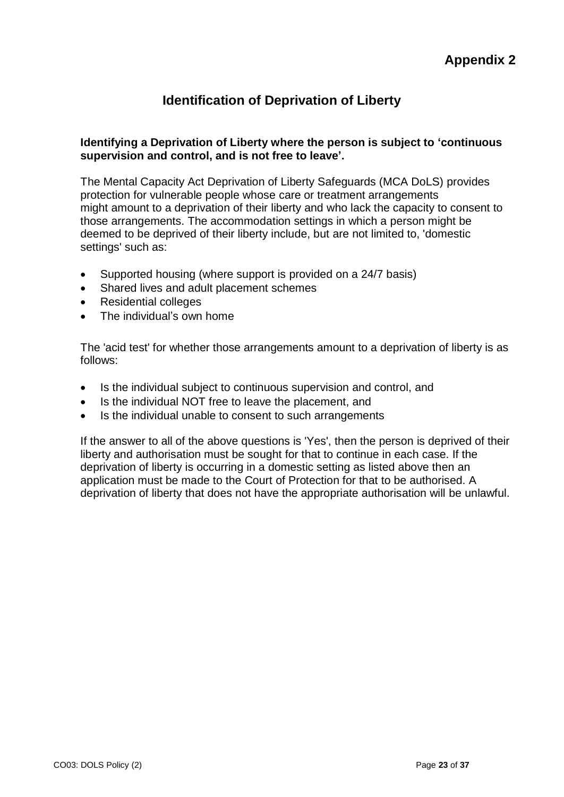## **Identification of Deprivation of Liberty**

### <span id="page-29-1"></span><span id="page-29-0"></span>**Identifying a Deprivation of Liberty where the person is subject to 'continuous supervision and control, and is not free to leave'.**

The Mental Capacity Act Deprivation of Liberty Safeguards (MCA DoLS) provides protection for vulnerable people whose care or treatment arrangements might amount to a deprivation of their liberty and who lack the capacity to consent to those arrangements. The accommodation settings in which a person might be deemed to be deprived of their liberty include, but are not limited to, 'domestic settings' such as:

- Supported housing (where support is provided on a 24/7 basis)
- Shared lives and adult placement schemes
- Residential colleges
- The individual's own home

The 'acid test' for whether those arrangements amount to a deprivation of liberty is as follows:

- Is the individual subject to continuous supervision and control, and
- Is the individual NOT free to leave the placement, and
- Is the individual unable to consent to such arrangements

If the answer to all of the above questions is 'Yes', then the person is deprived of their liberty and authorisation must be sought for that to continue in each case. If the deprivation of liberty is occurring in a domestic setting as listed above then an application must be made to the Court of Protection for that to be authorised. A deprivation of liberty that does not have the appropriate authorisation will be unlawful.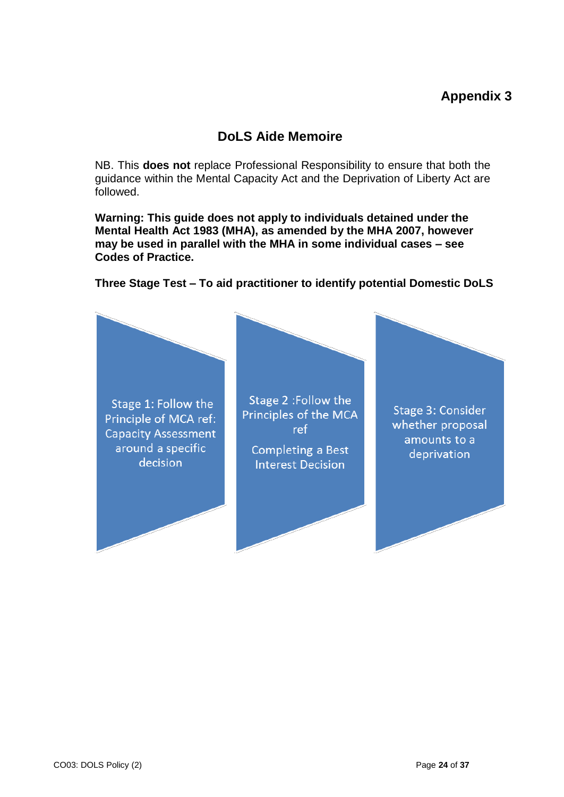## **DoLS Aide Memoire**

<span id="page-30-1"></span><span id="page-30-0"></span>NB. This **does not** replace Professional Responsibility to ensure that both the guidance within the Mental Capacity Act and the Deprivation of Liberty Act are followed.

**Warning: This guide does not apply to individuals detained under the Mental Health Act 1983 (MHA), as amended by the MHA 2007, however may be used in parallel with the MHA in some individual cases – see Codes of Practice.**

Stage 2 : Follow the Stage 1: Follow the Stage 3: Consider Principles of the MCA Principle of MCA ref: whether proposal ref **Capacity Assessment** amounts to a around a specific Completing a Best deprivation decision **Interest Decision** 

### **Three Stage Test – To aid practitioner to identify potential Domestic DoLS**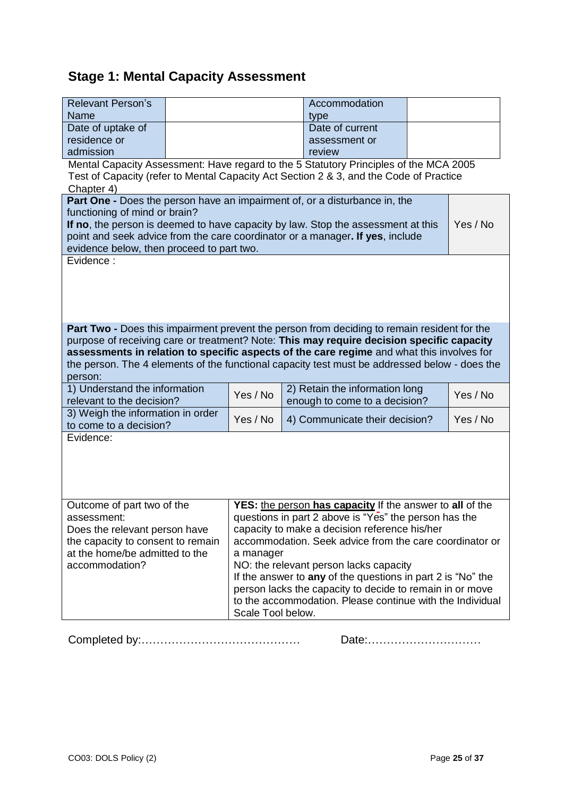# **Stage 1: Mental Capacity Assessment**

| <b>Relevant Person's</b>                                                                                                         |                                                             | Accommodation                                                                                                                                                                              |          |  |
|----------------------------------------------------------------------------------------------------------------------------------|-------------------------------------------------------------|--------------------------------------------------------------------------------------------------------------------------------------------------------------------------------------------|----------|--|
| Name<br>Date of uptake of                                                                                                        |                                                             | type<br>Date of current                                                                                                                                                                    |          |  |
| residence or                                                                                                                     |                                                             | assessment or                                                                                                                                                                              |          |  |
| admission                                                                                                                        |                                                             | review                                                                                                                                                                                     |          |  |
|                                                                                                                                  |                                                             | Mental Capacity Assessment: Have regard to the 5 Statutory Principles of the MCA 2005                                                                                                      |          |  |
|                                                                                                                                  |                                                             | Test of Capacity (refer to Mental Capacity Act Section 2 & 3, and the Code of Practice                                                                                                     |          |  |
| Chapter 4)                                                                                                                       |                                                             |                                                                                                                                                                                            |          |  |
| Part One - Does the person have an impairment of, or a disturbance in, the                                                       |                                                             |                                                                                                                                                                                            |          |  |
| functioning of mind or brain?                                                                                                    |                                                             |                                                                                                                                                                                            |          |  |
|                                                                                                                                  |                                                             | If no, the person is deemed to have capacity by law. Stop the assessment at this                                                                                                           | Yes / No |  |
|                                                                                                                                  |                                                             | point and seek advice from the care coordinator or a manager. If yes, include                                                                                                              |          |  |
| evidence below, then proceed to part two.<br>Evidence:                                                                           |                                                             |                                                                                                                                                                                            |          |  |
|                                                                                                                                  |                                                             |                                                                                                                                                                                            |          |  |
|                                                                                                                                  |                                                             |                                                                                                                                                                                            |          |  |
|                                                                                                                                  |                                                             |                                                                                                                                                                                            |          |  |
|                                                                                                                                  |                                                             |                                                                                                                                                                                            |          |  |
|                                                                                                                                  |                                                             |                                                                                                                                                                                            |          |  |
|                                                                                                                                  |                                                             | <b>Part Two -</b> Does this impairment prevent the person from deciding to remain resident for the                                                                                         |          |  |
|                                                                                                                                  |                                                             | purpose of receiving care or treatment? Note: This may require decision specific capacity                                                                                                  |          |  |
|                                                                                                                                  |                                                             | assessments in relation to specific aspects of the care regime and what this involves for<br>the person. The 4 elements of the functional capacity test must be addressed below - does the |          |  |
| person:                                                                                                                          |                                                             |                                                                                                                                                                                            |          |  |
| 1) Understand the information                                                                                                    |                                                             | 2) Retain the information long                                                                                                                                                             |          |  |
| relevant to the decision?                                                                                                        | Yes / No                                                    | enough to come to a decision?                                                                                                                                                              | Yes / No |  |
| 3) Weigh the information in order                                                                                                |                                                             |                                                                                                                                                                                            |          |  |
| to come to a decision?                                                                                                           | Yes / No                                                    | 4) Communicate their decision?                                                                                                                                                             | Yes / No |  |
| Evidence:                                                                                                                        |                                                             |                                                                                                                                                                                            |          |  |
|                                                                                                                                  |                                                             |                                                                                                                                                                                            |          |  |
|                                                                                                                                  |                                                             |                                                                                                                                                                                            |          |  |
|                                                                                                                                  |                                                             |                                                                                                                                                                                            |          |  |
|                                                                                                                                  |                                                             |                                                                                                                                                                                            |          |  |
| Outcome of part two of the                                                                                                       |                                                             |                                                                                                                                                                                            |          |  |
| YES: the person has capacity If the answer to all of the<br>questions in part 2 above is "Yes" the person has the<br>assessment: |                                                             |                                                                                                                                                                                            |          |  |
| capacity to make a decision reference his/her<br>Does the relevant person have                                                   |                                                             |                                                                                                                                                                                            |          |  |
| the capacity to consent to remain                                                                                                | accommodation. Seek advice from the care coordinator or     |                                                                                                                                                                                            |          |  |
| at the home/be admitted to the                                                                                                   | a manager                                                   |                                                                                                                                                                                            |          |  |
| accommodation?                                                                                                                   | NO: the relevant person lacks capacity                      |                                                                                                                                                                                            |          |  |
|                                                                                                                                  | If the answer to any of the questions in part 2 is "No" the |                                                                                                                                                                                            |          |  |
|                                                                                                                                  | person lacks the capacity to decide to remain in or move    |                                                                                                                                                                                            |          |  |
|                                                                                                                                  | to the accommodation. Please continue with the Individual   |                                                                                                                                                                                            |          |  |
|                                                                                                                                  | Scale Tool below.                                           |                                                                                                                                                                                            |          |  |

Completed by:…………………………………… Date:…………………………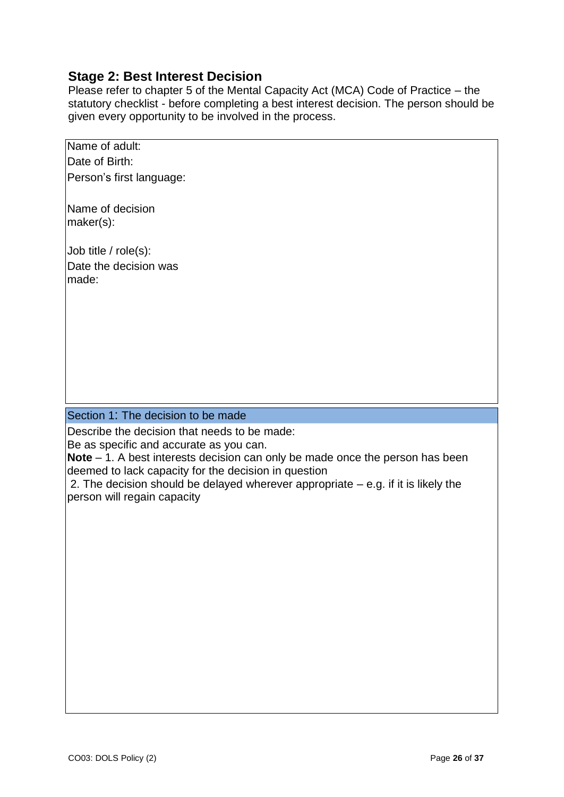## **Stage 2: Best Interest Decision**

Please refer to chapter 5 of the Mental Capacity Act (MCA) Code of Practice – the statutory checklist - before completing a best interest decision. The person should be given every opportunity to be involved in the process.

| Name of adult:           |
|--------------------------|
| Date of Birth:           |
| Person's first language: |

Name of decision maker(s):

Job title / role(s): Date the decision was made:

### Section 1: The decision to be made

Describe the decision that needs to be made:

Be as specific and accurate as you can.

**Note** – 1. A best interests decision can only be made once the person has been deemed to lack capacity for the decision in question

2. The decision should be delayed wherever appropriate – e.g. if it is likely the person will regain capacity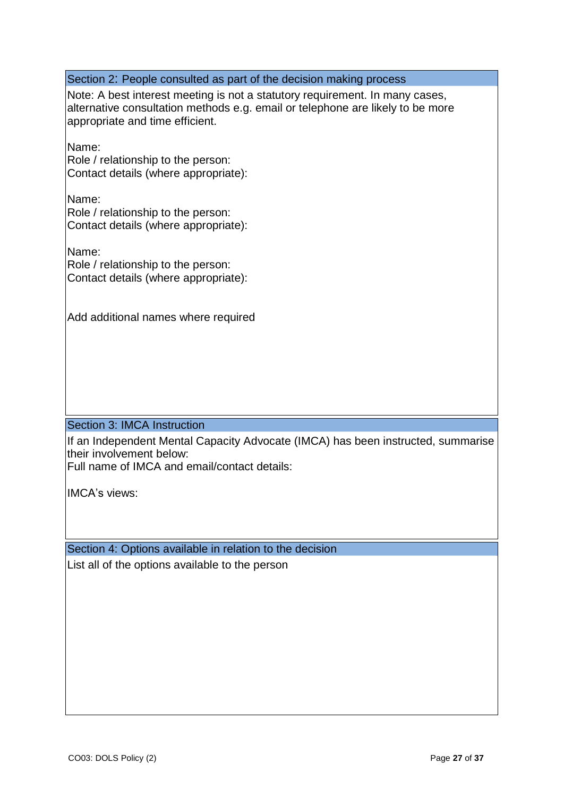Section 2: People consulted as part of the decision making process Note: A best interest meeting is not a statutory requirement. In many cases, alternative consultation methods e.g. email or telephone are likely to be more appropriate and time efficient. Name: Role / relationship to the person: Contact details (where appropriate): Name: Role / relationship to the person: Contact details (where appropriate): Name: Role / relationship to the person: Contact details (where appropriate): Add additional names where required Section 3: IMCA Instruction If an Independent Mental Capacity Advocate (IMCA) has been instructed, summarise their involvement below:

Full name of IMCA and email/contact details:

IMCA's views:

Section 4: Options available in relation to the decision List all of the options available to the person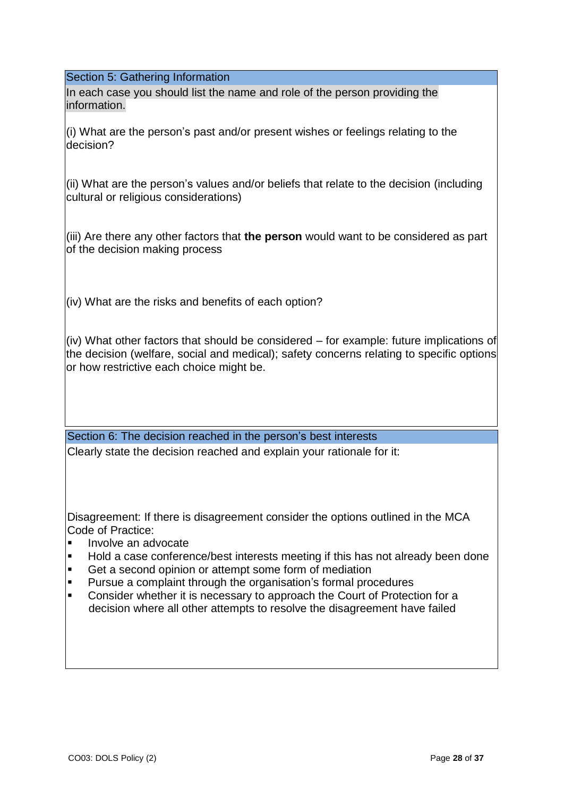Section 5: Gathering Information

In each case you should list the name and role of the person providing the information.

(i) What are the person's past and/or present wishes or feelings relating to the decision?

(ii) What are the person's values and/or beliefs that relate to the decision (including cultural or religious considerations)

(iii) Are there any other factors that **the person** would want to be considered as part of the decision making process

(iv) What are the risks and benefits of each option?

(iv) What other factors that should be considered – for example: future implications of the decision (welfare, social and medical); safety concerns relating to specific options or how restrictive each choice might be.

Section 6: The decision reached in the person's best interests Clearly state the decision reached and explain your rationale for it:

Disagreement: If there is disagreement consider the options outlined in the MCA Code of Practice:

- Involve an advocate
- Hold a case conference/best interests meeting if this has not already been done
- Get a second opinion or attempt some form of mediation
- Pursue a complaint through the organisation's formal procedures
- Consider whether it is necessary to approach the Court of Protection for a decision where all other attempts to resolve the disagreement have failed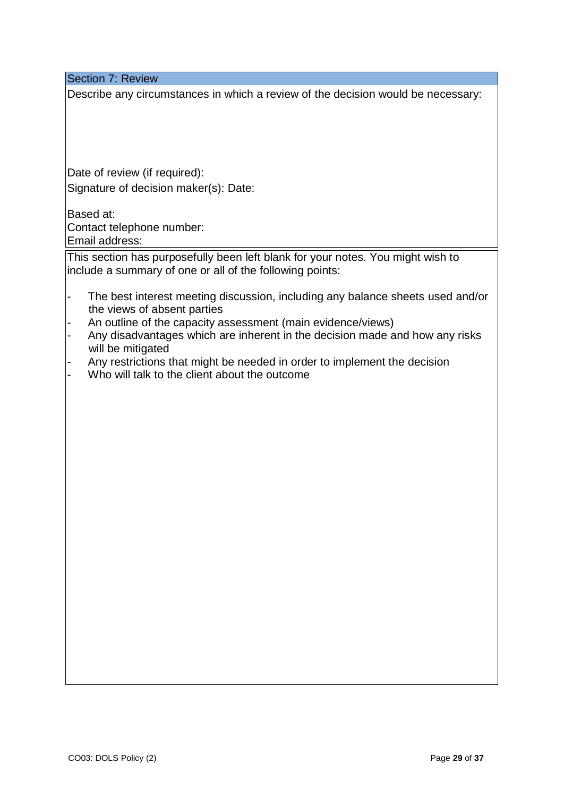Section 7: Review

Describe any circumstances in which a review of the decision would be necessary:

Date of review (if required): Signature of decision maker(s): Date:

Based at: Contact telephone number: Email address:

This section has purposefully been left blank for your notes. You might wish to include a summary of one or all of the following points:

- The best interest meeting discussion, including any balance sheets used and/or the views of absent parties
- An outline of the capacity assessment (main evidence/views)
- Any disadvantages which are inherent in the decision made and how any risks will be mitigated
- Any restrictions that might be needed in order to implement the decision
- Who will talk to the client about the outcome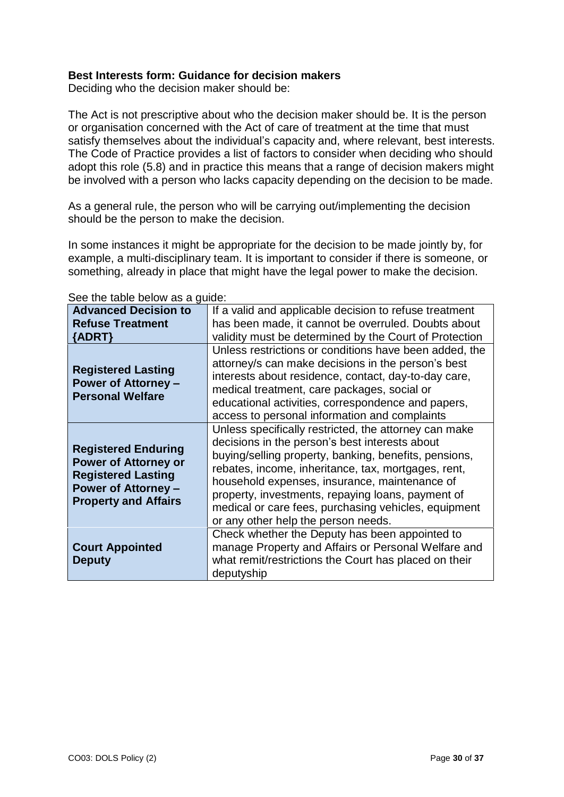#### **Best Interests form: Guidance for decision makers**

Deciding who the decision maker should be:

The Act is not prescriptive about who the decision maker should be. It is the person or organisation concerned with the Act of care of treatment at the time that must satisfy themselves about the individual's capacity and, where relevant, best interests. The Code of Practice provides a list of factors to consider when deciding who should adopt this role (5.8) and in practice this means that a range of decision makers might be involved with a person who lacks capacity depending on the decision to be made.

As a general rule, the person who will be carrying out/implementing the decision should be the person to make the decision.

In some instances it might be appropriate for the decision to be made jointly by, for example, a multi-disciplinary team. It is important to consider if there is someone, or something, already in place that might have the legal power to make the decision.

| <b>Advanced Decision to</b>                                                                                                                         | If a valid and applicable decision to refuse treatment                                                                                                                                                                                                                                                                                                                                                                       |
|-----------------------------------------------------------------------------------------------------------------------------------------------------|------------------------------------------------------------------------------------------------------------------------------------------------------------------------------------------------------------------------------------------------------------------------------------------------------------------------------------------------------------------------------------------------------------------------------|
| <b>Refuse Treatment</b><br>${ADRT}$                                                                                                                 | has been made, it cannot be overruled. Doubts about<br>validity must be determined by the Court of Protection                                                                                                                                                                                                                                                                                                                |
| <b>Registered Lasting</b><br><b>Power of Attorney -</b><br><b>Personal Welfare</b>                                                                  | Unless restrictions or conditions have been added, the<br>attorney/s can make decisions in the person's best<br>interests about residence, contact, day-to-day care,<br>medical treatment, care packages, social or<br>educational activities, correspondence and papers,<br>access to personal information and complaints                                                                                                   |
| <b>Registered Enduring</b><br><b>Power of Attorney or</b><br><b>Registered Lasting</b><br><b>Power of Attorney -</b><br><b>Property and Affairs</b> | Unless specifically restricted, the attorney can make<br>decisions in the person's best interests about<br>buying/selling property, banking, benefits, pensions,<br>rebates, income, inheritance, tax, mortgages, rent,<br>household expenses, insurance, maintenance of<br>property, investments, repaying loans, payment of<br>medical or care fees, purchasing vehicles, equipment<br>or any other help the person needs. |
| <b>Court Appointed</b><br><b>Deputy</b>                                                                                                             | Check whether the Deputy has been appointed to<br>manage Property and Affairs or Personal Welfare and<br>what remit/restrictions the Court has placed on their<br>deputyship                                                                                                                                                                                                                                                 |

See the table below as a guide: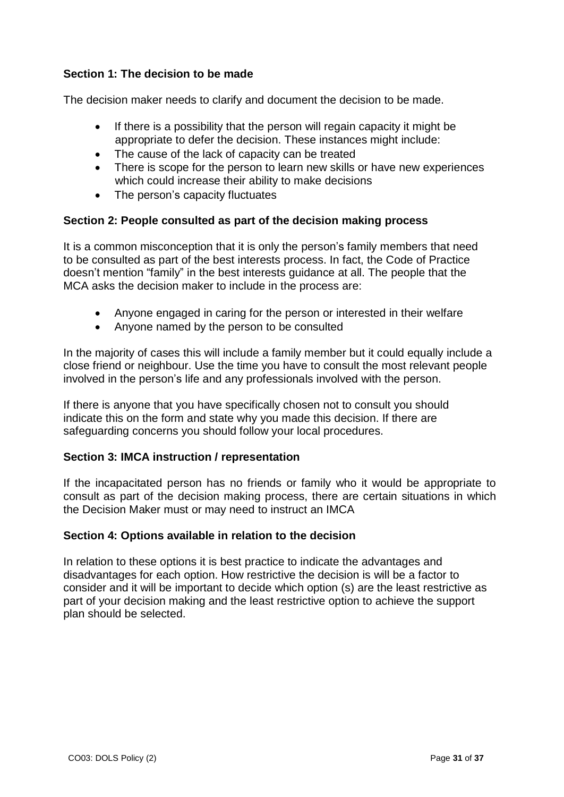## **Section 1: The decision to be made**

The decision maker needs to clarify and document the decision to be made.

- If there is a possibility that the person will regain capacity it might be appropriate to defer the decision. These instances might include:
- The cause of the lack of capacity can be treated
- There is scope for the person to learn new skills or have new experiences which could increase their ability to make decisions
- The person's capacity fluctuates

### **Section 2: People consulted as part of the decision making process**

It is a common misconception that it is only the person's family members that need to be consulted as part of the best interests process. In fact, the Code of Practice doesn't mention "family" in the best interests guidance at all. The people that the MCA asks the decision maker to include in the process are:

- Anyone engaged in caring for the person or interested in their welfare
- Anyone named by the person to be consulted

In the majority of cases this will include a family member but it could equally include a close friend or neighbour. Use the time you have to consult the most relevant people involved in the person's life and any professionals involved with the person.

If there is anyone that you have specifically chosen not to consult you should indicate this on the form and state why you made this decision. If there are safeguarding concerns you should follow your local procedures.

### **Section 3: IMCA instruction / representation**

If the incapacitated person has no friends or family who it would be appropriate to consult as part of the decision making process, there are certain situations in which the Decision Maker must or may need to instruct an IMCA

#### **Section 4: Options available in relation to the decision**

In relation to these options it is best practice to indicate the advantages and disadvantages for each option. How restrictive the decision is will be a factor to consider and it will be important to decide which option (s) are the least restrictive as part of your decision making and the least restrictive option to achieve the support plan should be selected.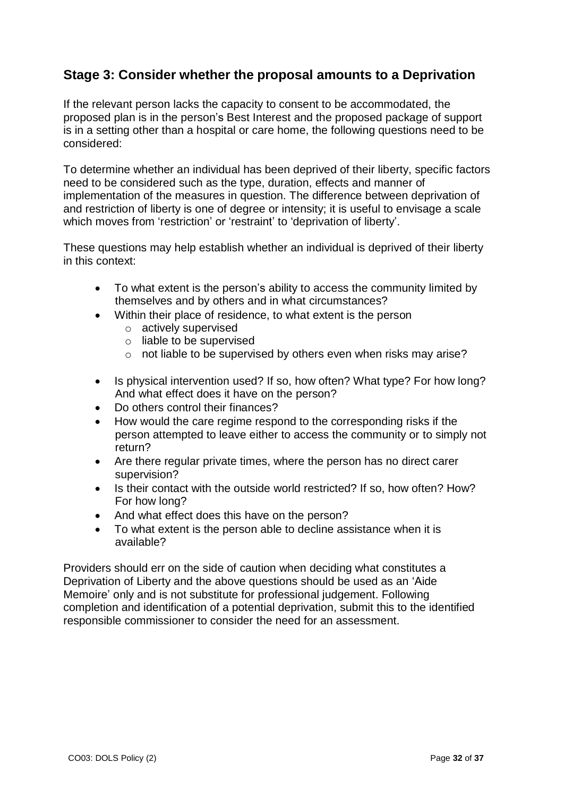## **Stage 3: Consider whether the proposal amounts to a Deprivation**

If the relevant person lacks the capacity to consent to be accommodated, the proposed plan is in the person's Best Interest and the proposed package of support is in a setting other than a hospital or care home, the following questions need to be considered:

To determine whether an individual has been deprived of their liberty, specific factors need to be considered such as the type, duration, effects and manner of implementation of the measures in question. The difference between deprivation of and restriction of liberty is one of degree or intensity; it is useful to envisage a scale which moves from 'restriction' or 'restraint' to 'deprivation of liberty'.

These questions may help establish whether an individual is deprived of their liberty in this context:

- To what extent is the person's ability to access the community limited by themselves and by others and in what circumstances?
- Within their place of residence, to what extent is the person
	- o actively supervised
	- o liable to be supervised
	- o not liable to be supervised by others even when risks may arise?
- Is physical intervention used? If so, how often? What type? For how long? And what effect does it have on the person?
- Do others control their finances?
- How would the care regime respond to the corresponding risks if the person attempted to leave either to access the community or to simply not return?
- Are there regular private times, where the person has no direct carer supervision?
- Is their contact with the outside world restricted? If so, how often? How? For how long?
- And what effect does this have on the person?
- To what extent is the person able to decline assistance when it is available?

Providers should err on the side of caution when deciding what constitutes a Deprivation of Liberty and the above questions should be used as an 'Aide Memoire' only and is not substitute for professional judgement. Following completion and identification of a potential deprivation, submit this to the identified responsible commissioner to consider the need for an assessment.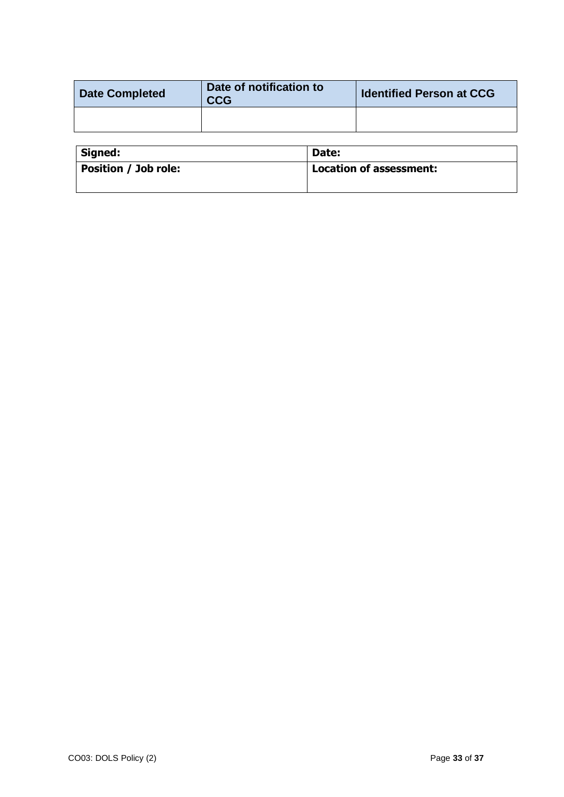| <b>Date Completed</b> | Date of notification to<br><b>CCG</b> | <b>Identified Person at CCG</b> |
|-----------------------|---------------------------------------|---------------------------------|
|                       |                                       |                                 |

| Signed:                     | Date:                          |
|-----------------------------|--------------------------------|
| <b>Position / Job role:</b> | <b>Location of assessment:</b> |
|                             |                                |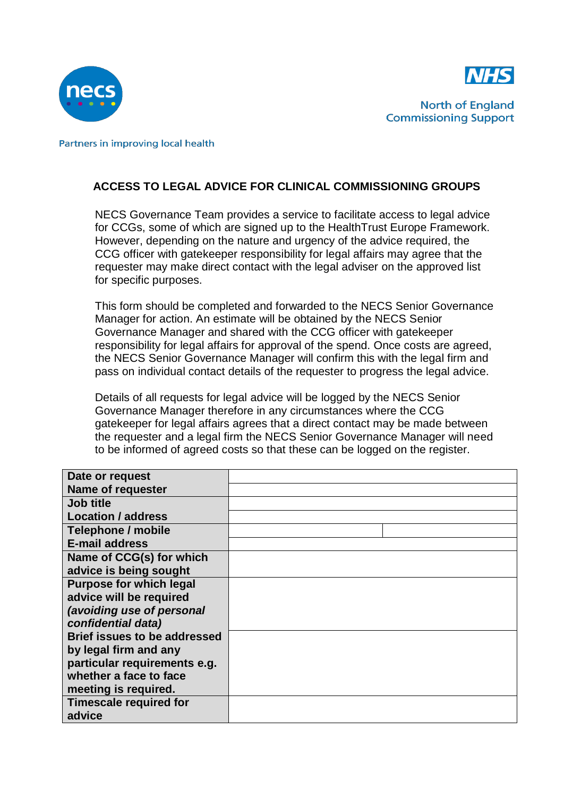



**North of England Commissioning Support** 

<span id="page-40-0"></span>Partners in improving local health

## **ACCESS TO LEGAL ADVICE FOR CLINICAL COMMISSIONING GROUPS**

NECS Governance Team provides a service to facilitate access to legal advice for CCGs, some of which are signed up to the HealthTrust Europe Framework. However, depending on the nature and urgency of the advice required, the CCG officer with gatekeeper responsibility for legal affairs may agree that the requester may make direct contact with the legal adviser on the approved list for specific purposes.

This form should be completed and forwarded to the NECS Senior Governance Manager for action. An estimate will be obtained by the NECS Senior Governance Manager and shared with the CCG officer with gatekeeper responsibility for legal affairs for approval of the spend. Once costs are agreed, the NECS Senior Governance Manager will confirm this with the legal firm and pass on individual contact details of the requester to progress the legal advice.

Details of all requests for legal advice will be logged by the NECS Senior Governance Manager therefore in any circumstances where the CCG gatekeeper for legal affairs agrees that a direct contact may be made between the requester and a legal firm the NECS Senior Governance Manager will need to be informed of agreed costs so that these can be logged on the register.

| Date or request                     |  |
|-------------------------------------|--|
| Name of requester                   |  |
| <b>Job title</b>                    |  |
| <b>Location / address</b>           |  |
| Telephone / mobile                  |  |
| <b>E-mail address</b>               |  |
| Name of CCG(s) for which            |  |
| advice is being sought              |  |
| <b>Purpose for which legal</b>      |  |
| advice will be required             |  |
| (avoiding use of personal           |  |
| confidential data)                  |  |
| <b>Brief issues to be addressed</b> |  |
| by legal firm and any               |  |
| particular requirements e.g.        |  |
| whether a face to face              |  |
| meeting is required.                |  |
| <b>Timescale required for</b>       |  |
| advice                              |  |